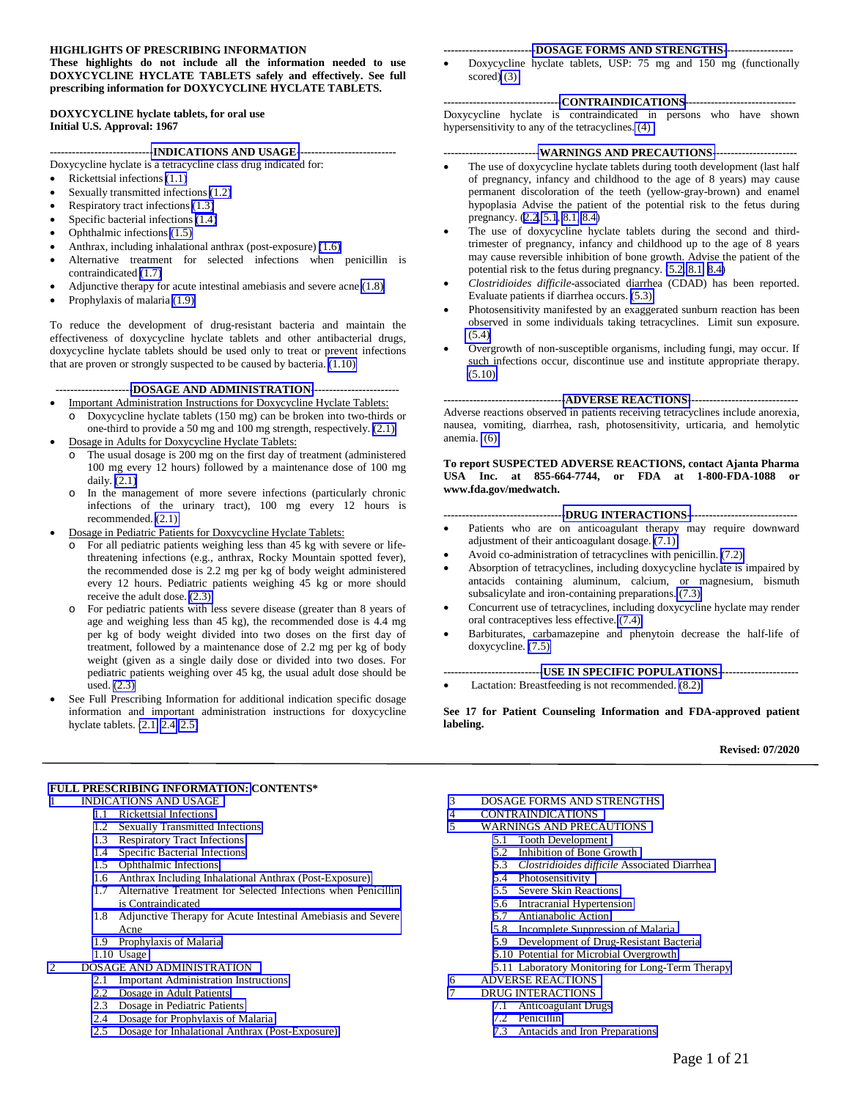#### **HIGHLIGHTS OF PRESCRIBING INFORMATION**

**These highlights do not include all the information needed to use DOXYCYCLINE HYCLATE TABLETS safely and effectively. See full prescribing information for DOXYCYCLINE HYCLATE TABLETS.** 

**DOXYCYCLINE hyclate tablets, for oral use Initial U.S. Approval: 1967**

#### **---------------------------[-INDICATIONS AND USAGE-](#page-2-0)--------------------------**

Doxycycline hyclate is a tetracycline class drug indicated for:

- Rickettsial infections [\(1.1\)](#page-2-0)
- Sexually transmitted infections [\(1.2\)](#page-2-0)
- Respiratory tract infections [\(1.3\)](#page-2-0)
- Specific bacterial infections [\(1.4\)](#page-2-1)
- Ophthalmic infections [\(1.5\)](#page-3-0)
- Anthrax, including inhalational anthrax (post-exposure) [\(1.6\)](#page-3-0)
- Alternative treatment for selected infections when penicillin is contraindicated [\(1.7\)](#page-3-1)
- Adjunctive therapy for acute intestinal amebiasis and severe acne [\(1.8\)](#page-3-2)
- Prophylaxis of malaria [\(1.9\)](#page-3-2)

To reduce the development of drug-resistant bacteria and maintain the effectiveness of doxycycline hyclate tablets and other antibacterial drugs, doxycycline hyclate tablets should be used only to treat or prevent infections that are proven or strongly suspected to be caused by bacteria. [\(1.10\)](#page-4-0)

 **--------------------[-DOSAGE AND ADMINISTRATION-](#page-4-0)-----------------------**

- Important Administration Instructions for Doxycycline Hyclate Tablets: Doxycycline hyclate tablets (150 mg) can be broken into two-thirds or
- one-third to provide a 50 mg and 100 mg strength, respectively. [\(2.1\)](#page-4-1) • Dosage in Adults for Doxycycline Hyclate Tablets:
- o The usual dosage is 200 mg on the first day of treatment (administered 100 mg every 12 hours) followed by a maintenance dose of 100 mg daily. [\(2.1\)](#page-4-1)
- In the management of more severe infections (particularly chronic infections of the urinary tract), 100 mg every 12 hours is recommended. [\(2.1\)](#page-4-1)
- Dosage in Pediatric Patients for Doxycycline Hyclate Tablets:
	- o For all pediatric patients weighing less than 45 kg with severe or lifethreatening infections (e.g., anthrax, Rocky Mountain spotted fever), the recommended dose is 2.2 mg per kg of body weight administered every 12 hours. Pediatric patients weighing 45 kg or more should receive the adult dose. [\(2.3\)](#page-5-0)
	- For pediatric patients with less severe disease (greater than 8 years of age and weighing less than 45 kg), the recommended dose is 4.4 mg per kg of body weight divided into two doses on the first day of treatment, followed by a maintenance dose of 2.2 mg per kg of body weight (given as a single daily dose or divided into two doses. For pediatric patients weighing over 45 kg, the usual adult dose should be used. [\(2.3\)](#page-5-0)
- See Full Prescribing Information for additional indication specific dosage information and important administration instructions for doxycycline hyclate tablets. [\(2.1,](#page-4-2) [2.4,](#page-5-1) [2.5\)](#page-5-2)

#### **------------------------[-DOSAGE FORMS AND STRENGTHS-](#page-6-4)------------------**

• Doxycycline hyclate tablets, USP: 75 mg and 150 mg (functionally scored[\) \(3\)](#page-6-4)

#### **-------------------------------[-CONTRAINDICATIONS-](#page-6-0)-----------------------------**

Doxycycline hyclate is contraindicated in persons who have shown hypersensitivity to any of the tetracyclines. [\(4\)](#page-6-0)

#### **-------------------------[-WARNINGS AND PRECAUTIONS-](#page-6-0)----------------------**

- The use of doxycycline hyclate tablets during tooth development (last half of pregnancy, infancy and childhood to the age of 8 years) may cause permanent discoloration of the teeth (yellow-gray-brown) and enamel hypoplasia Advise the patient of the potential risk to the fetus during pregnancy. [\(2.2](#page-4-5), [5.1](#page-6-3), [8.1,](#page-10-0) [8.4\)](#page-11-0)
- The use of doxycycline hyclate tablets during the second and thirdtrimester of pregnancy, infancy and childhood up to the age of 8 years may cause reversible inhibition of bone growth. Advise the patient of the potential risk to the fetus during pregnancy. [\(5.2,](#page-6-3) [8.1,](#page-10-0) [8.4\)](#page-11-0)
- *Clostridioides difficile*-associated diarrhea (CDAD) has been reported. Evaluate patients if diarrhea occurs. [\(5.3\)](#page-7-3)
- Photosensitivity manifested by an exaggerated sunburn reaction has been observed in some individuals taking tetracyclines. Limit sun exposure. [\(5.4\)](#page-7-2)
- Overgrowth of non-susceptible organisms, including fungi, may occur. If such infections occur, discontinue use and institute appropriate therapy. [\(5.10\)](#page-8-4)

#### **--------------------------------[-ADVERSE REACTIONS-](#page-8-0)-----------------------------**

Adverse reactions observed in patients receiving tetracyclines include anorexia, nausea, vomiting, diarrhea, rash, photosensitivity, urticaria, and hemolytic anemia. [\(6\)](#page-8-4) 

**To report SUSPECTED ADVERSE REACTIONS, contact Ajanta Pharma USA Inc. at 855-664-7744, or FDA at 1-800-FDA-1088 or www.fda.gov/medwatch.** 

#### **--------------------------------[-DRUG INTERACTIONS--](#page-9-0)----------------------------**

- Patients who are on anticoagulant therapy may require downward adjustment of their anticoagulant dosage. [\(7.1\)](#page-9-2)
- Avoid co-administration of tetracyclines with penicillin. [\(7.2\)](#page-9-2)
- Absorption of tetracyclines, including doxycycline hyclate is impaired by antacids containing aluminum, calcium, or magnesium, bismuth subsalicylate and iron-containing preparations. [\(7.3\)](#page-9-2)
- Concurrent use of tetracyclines, including doxycycline hyclate may render oral contraceptives less effective. [\(7.4\)](#page-9-2)
- Barbiturates, carbamazepine and phenytoin decrease the half-life of doxycycline. [\(7.5\)](#page-9-2)

#### **--------------------------[-USE IN SPECIFIC POPULATIONS--](#page-10-0)--------------------**

Lactation: Breastfeeding is not recommended.  $(8.2)$ 

**See 17 for Patient Counseling Information and FDA-approved patient labeling.** 

#### **Revised: 07/2020**

#### **[FULL PRESCRIBING INFORMATION:](#page-2-0) CONTENTS\***

- 1 [INDICATIONS AND USAGE](#page-2-0)
	- 1.1 [Rickettsial Infections](#page-2-0)
	- 1.2 [Sexually Transmitted Infections](#page-2-0)
	- 1.3 [Respiratory Tract Infections](#page-2-2)
	- 1.4 [Specific Bacterial Infections](#page-2-3)
	- 1.5 [Ophthalmic Infections](#page-3-0)
	- 1.6 [Anthrax Including Inhalational Anthrax \(Post-Exposure\)](#page-3-0)
	- 1.7 [Alternative Treatment for Selected Infections when Penicillin](#page-3-3)  is Contraindicated
	- 1.8 [Adjunctive Therapy for Acute Intestinal Amebiasis and Severe](#page-3-2)  Acne
	- 1.9 [Prophylaxis of Malaria](#page-3-2)
	- 1.10 [Usage](#page-4-0)
- 2 [DOSAGE AND ADMINISTRATION](#page-4-3)
	- 2.1 [Important Administration Instructions](#page-4-1) 
		- 2.2 [Dosage in Adult Patients](#page-4-4)
		- 2.3 [Dosage in Pediatric Patients](#page-5-0)
		- 2.4 [Dosage for Prophylaxis of Malaria](#page-5-3)
		- 2.5 [Dosage for Inhalational Anthrax \(Post-Exposure\)](#page-5-4)
- 3 [DOSAGE FORMS AND STRENGTHS](#page-6-4)
- 4 [CONTRAINDICATIONS](#page-6-0)
- 5 [WARNINGS AND PRECAUTIONS](#page-6-0)
	- 5.1 [Tooth Development](#page-6-1)
	- 5.2 [Inhibition of Bone Growth](#page-6-2)
	- 5.3 *[Clostridioides difficile](#page-7-3)* Associated Diarrhea 5.4 [Photosensitivity](#page-7-0)
	-
	- 5.5 [Severe Skin Reactions](#page-7-0)
	- 5.6 [Intracranial Hypertension](#page-7-1)<br>5.7 Antianabolic Action
	- [Antianabolic Action](#page-8-5)
	- 5.8 [Incomplete Suppression of Malaria](#page-8-5)
	- 5.9 [Development of Drug-Resistant Bacteria](#page-8-4)
	- 5.10 [Potential for Microbial Overgrowth](#page-8-1)
	- 5.11 [Laboratory Monitoring for Long-Term Therapy](#page-8-2)
- 6 [ADVERSE REACTIONS](#page-8-3) [DRUG INTERACTIONS](#page-9-0)
	- 7.1 [Anticoagulant Drugs](#page-9-1)
		- 7.2 [Penicillin](#page-9-0)
		- 7.3 [Antacids and Iron Preparations](#page-9-1)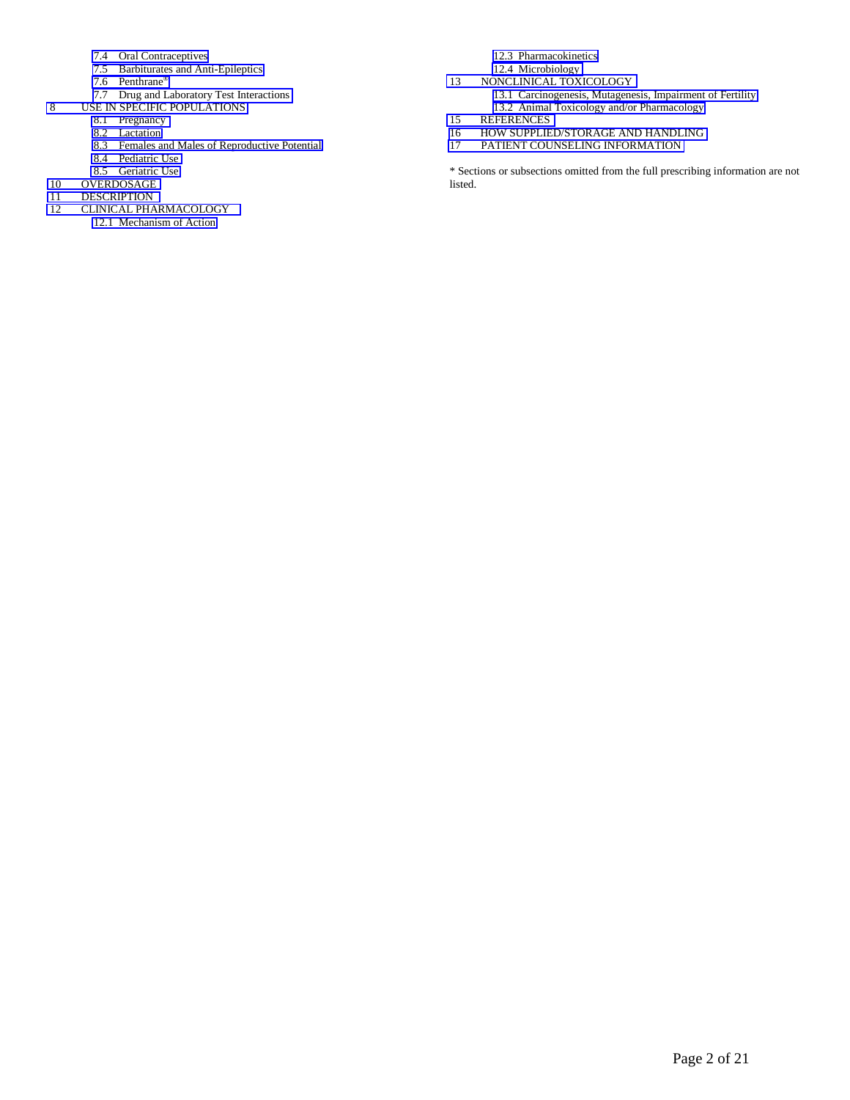- 7.4 [Oral Contraceptives](#page-9-4)
- 7.5 [Barbiturates and Anti-Epileptics](#page-9-4)
- 7.6 [Penthrane®](#page-9-3)
- 7.7 [Drug and Laboratory Test Interactions](#page-10-1)
- 8 [USE IN SPECIFIC POPULATIONS](#page-10-0)
	- 8.1 [Pregnancy](#page-10-0)
	- 8.2 [Lactation](#page-11-1)
	- 8.3 [Females and Males of Reproductive](#page-11-1) Potential
	- 8.4 [Pediatric Use](#page-11-3)
	- 8.5 [Geriatric Use](#page-11-4)
- 10 [OVERDOSAGE](#page-11-2)<br>11 DESCRIPTION
- **[DESCRIPTION](#page-11-2)**
- 12 [CLINICAL PHARMACOLOGY](#page-12-1)
	- 12.1 [Mechanism of Action](#page-12-1)
- 12.3 [Pharmacokinetics](#page-12-0)
- 12.4 [Microbiology](#page-13-0) 13 [NONCLINICAL TOXICOLOGY](#page-15-0)
	- 13.1 [Carcinogenesis, Mutagenesis, Impairment of Fertility](#page-15-0) 13.2 [Animal Toxicology and/or Pharmacology](#page-15-1)
- [15 REFERENCES](#page-16-0)<br>16 HOW SUPPLIE
- [16 HOW SUPPLIED/STORAGE AND HANDLING](#page-16-0)<br>17 PATIENT COUNSELING INFORMATION
- [PATIENT COUNSELING INFORMATION](#page-16-1)

\* Sections or subsections omitted from the full prescribing information are not listed.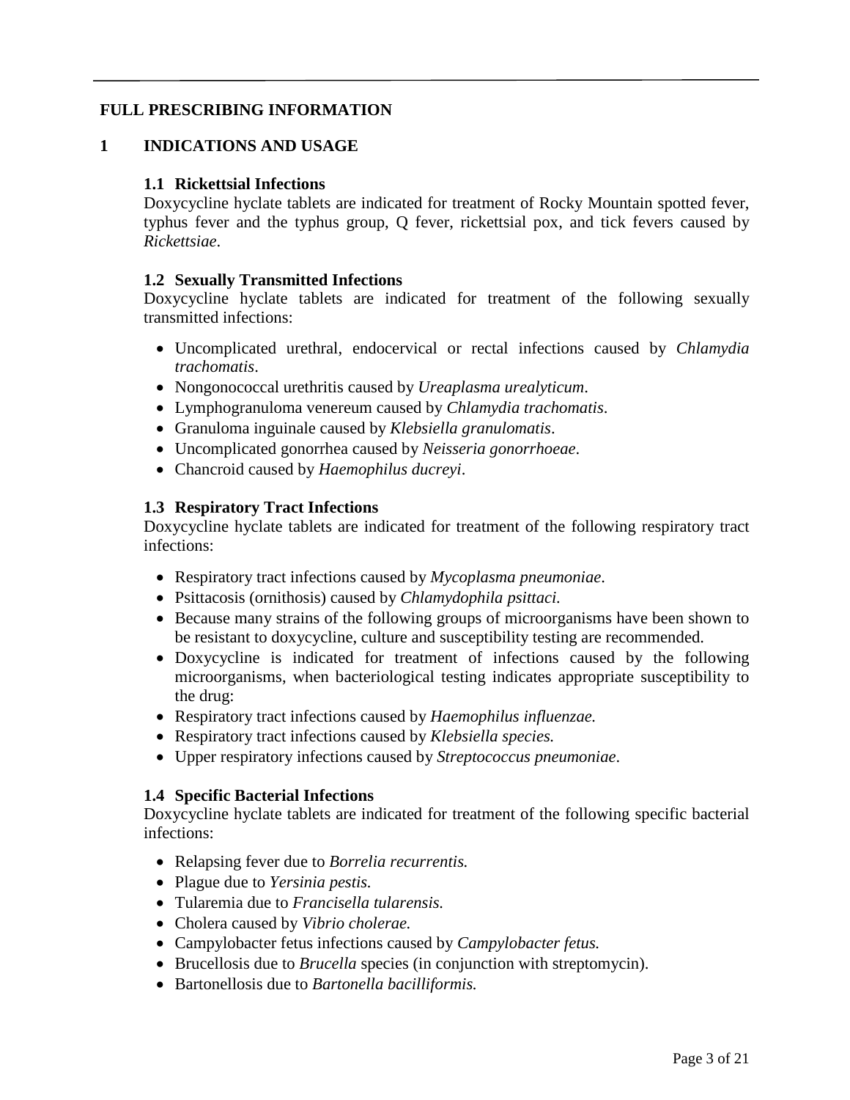## <span id="page-2-5"></span><span id="page-2-4"></span>**FULL PRESCRIBING INFORMATION**

## **1 INDICATIONS AND USAGE**

### <span id="page-2-0"></span>**1.1 Rickettsial Infections**

Doxycycline hyclate tablets are indicated for treatment of Rocky Mountain spotted fever, typhus fever and the typhus group, Q fever, rickettsial pox, and tick fevers caused by *Rickettsiae*.

#### **1.2 Sexually Transmitted Infections**

Doxycycline hyclate tablets are indicated for treatment of the following sexually transmitted infections:

- <span id="page-2-2"></span>• Uncomplicated urethral, endocervical or rectal infections caused by *Chlamydia trachomatis*.
- <span id="page-2-1"></span>• Nongonococcal urethritis caused by *Ureaplasma urealyticum*.
- Lymphogranuloma venereum caused by *Chlamydia trachomatis*.
- Granuloma inguinale caused by *Klebsiella granulomatis*.
- <span id="page-2-3"></span>• Uncomplicated gonorrhea caused by *Neisseria gonorrhoeae*.
- Chancroid caused by *Haemophilus ducreyi*.

## **1.3 Respiratory Tract Infections**

Doxycycline hyclate tablets are indicated for treatment of the following respiratory tract infections:

- Respiratory tract infections caused by *Mycoplasma pneumoniae*.
- Psittacosis (ornithosis) caused by *Chlamydophila psittaci.*
- Because many strains of the following groups of microorganisms have been shown to be resistant to doxycycline, culture and susceptibility testing are recommended.
- Doxycycline is indicated for treatment of infections caused by the following microorganisms, when bacteriological testing indicates appropriate susceptibility to the drug:
- Respiratory tract infections caused by *Haemophilus influenzae.*
- Respiratory tract infections caused by *Klebsiella species.*
- Upper respiratory infections caused by *Streptococcus pneumoniae*.

## **1.4 Specific Bacterial Infections**

Doxycycline hyclate tablets are indicated for treatment of the following specific bacterial infections:

- Relapsing fever due to *Borrelia recurrentis.*
- Plague due to *Yersinia pestis.*
- Tularemia due to *Francisella tularensis.*
- Cholera caused by *Vibrio cholerae.*
- Campylobacter fetus infections caused by *Campylobacter fetus.*
- Brucellosis due to *Brucella* species (in conjunction with streptomycin).
- Bartonellosis due to *Bartonella bacilliformis.*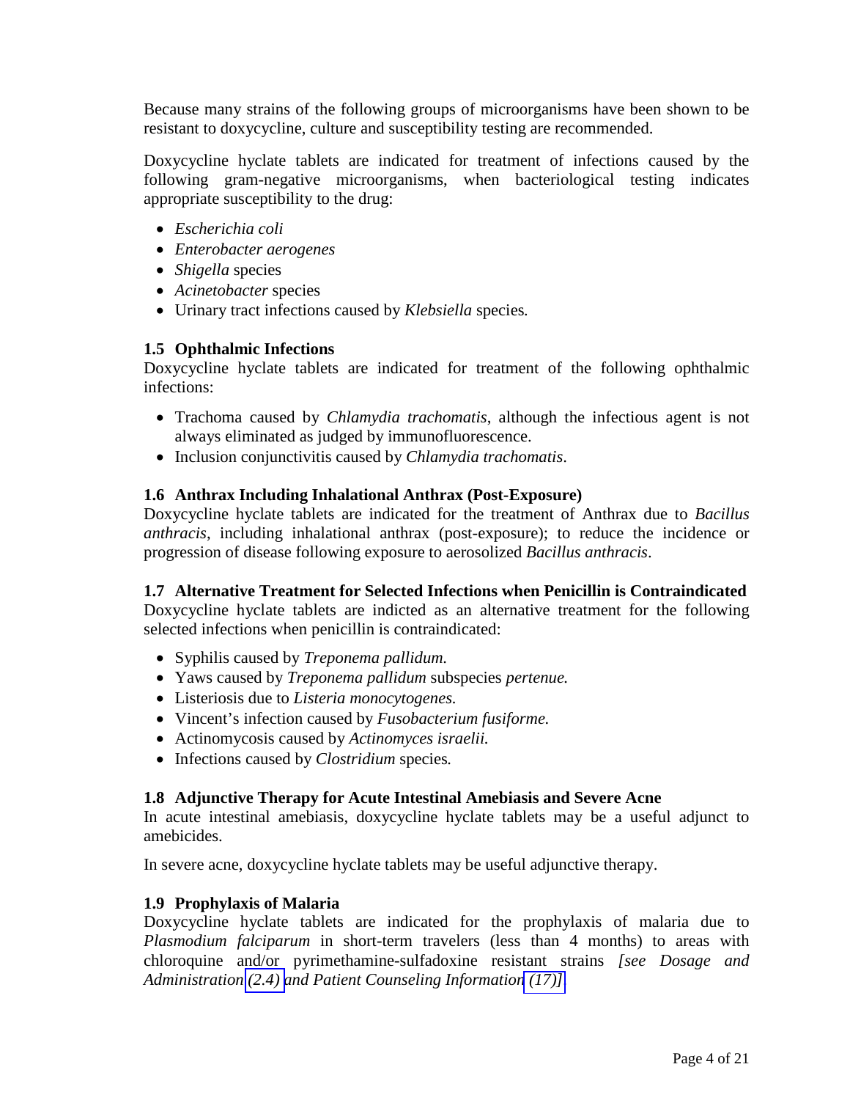<span id="page-3-0"></span>Because many strains of the following groups of microorganisms have been shown to be resistant to doxycycline, culture and susceptibility testing are recommended.

Doxycycline hyclate tablets are indicated for treatment of infections caused by the following gram-negative microorganisms, when bacteriological testing indicates appropriate susceptibility to the drug:

- *Escherichia coli*
- *Enterobacter aerogenes*
- *Shigella* species
- *Acinetobacter* species
- Urinary tract infections caused by *Klebsiella* species*.*

## **1.5 Ophthalmic Infections**

Doxycycline hyclate tablets are indicated for treatment of the following ophthalmic infections:

- <span id="page-3-3"></span><span id="page-3-1"></span>• Trachoma caused by *Chlamydia trachomatis*, although the infectious agent is not always eliminated as judged by immunofluorescence.
- <span id="page-3-2"></span>• Inclusion conjunctivitis caused by *Chlamydia trachomatis*.

## **1.6 Anthrax Including Inhalational Anthrax (Post-Exposure)**

Doxycycline hyclate tablets are indicated for the treatment of Anthrax due to *Bacillus anthracis*, including inhalational anthrax (post-exposure); to reduce the incidence or progression of disease following exposure to aerosolized *Bacillus anthracis*.

## **1.7 Alternative Treatment for Selected Infections when Penicillin is Contraindicated**

Doxycycline hyclate tablets are indicted as an alternative treatment for the following selected infections when penicillin is contraindicated:

- Syphilis caused by *Treponema pallidum.*
- Yaws caused by *Treponema pallidum* subspecies *pertenue.*
- Listeriosis due to *Listeria monocytogenes.*
- Vincent's infection caused by *Fusobacterium fusiforme.*
- Actinomycosis caused by *Actinomyces israelii.*
- Infections caused by *Clostridium* species*.*

## **1.8 Adjunctive Therapy for Acute Intestinal Amebiasis and Severe Acne**

In acute intestinal amebiasis, doxycycline hyclate tablets may be a useful adjunct to amebicides.

In severe acne, doxycycline hyclate tablets may be useful adjunctive therapy.

## **1.9 Prophylaxis of Malaria**

Doxycycline hyclate tablets are indicated for the prophylaxis of malaria due to *Plasmodium falciparum* in short-term travelers (less than 4 months) to areas with chloroquine and/or pyrimethamine-sulfadoxine resistant strains *[see Dosage and Administration [\(2.4\) a](#page-5-5)nd Patient Counseling Informatio[n \(17\)\].](#page-16-2)*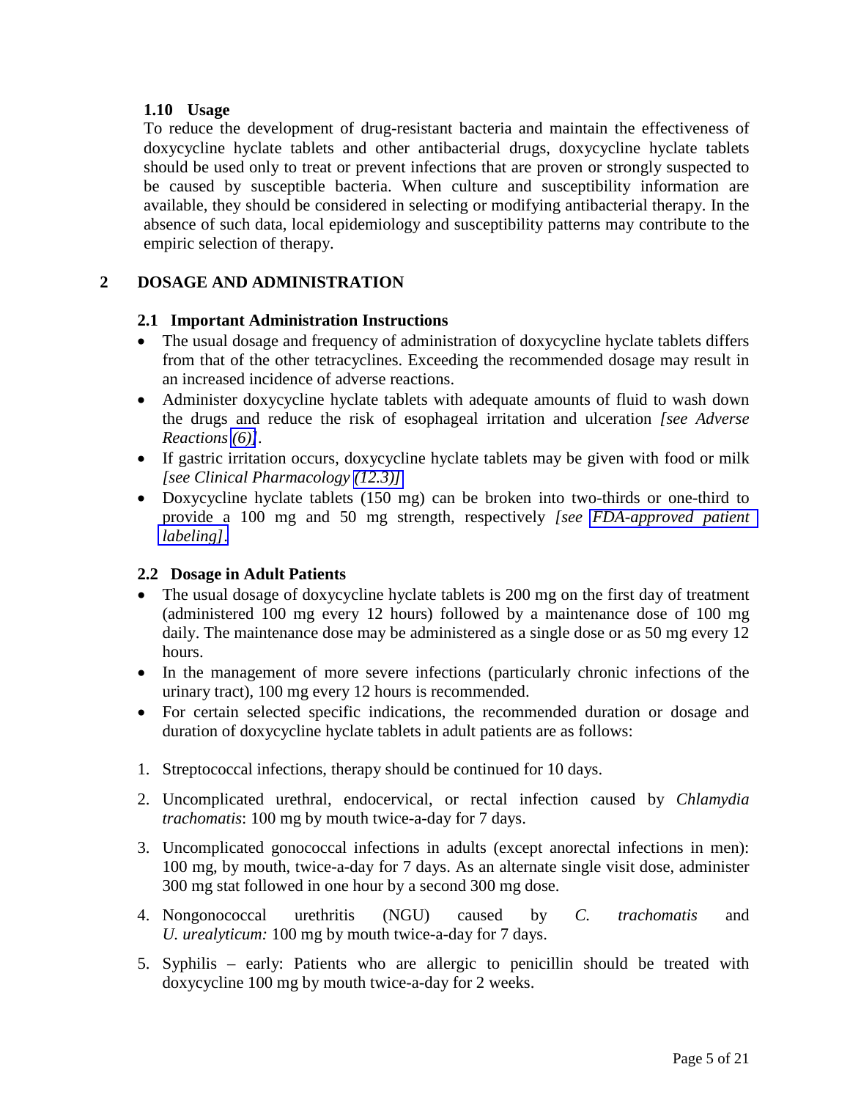## <span id="page-4-7"></span><span id="page-4-6"></span><span id="page-4-5"></span><span id="page-4-2"></span><span id="page-4-1"></span><span id="page-4-0"></span>**1.10 Usage**

To reduce the development of drug-resistant bacteria and maintain the effectiveness of doxycycline hyclate tablets and other antibacterial drugs, doxycycline hyclate tablets should be used only to treat or prevent infections that are proven or strongly suspected to be caused by susceptible bacteria. When culture and susceptibility information are available, they should be considered in selecting or modifying antibacterial therapy. In the absence of such data, local epidemiology and susceptibility patterns may contribute to the empiric selection of therapy.

# **2 DOSAGE AND ADMINISTRATION**

## <span id="page-4-3"></span>**2.1 Important Administration Instructions**

- The usual dosage and frequency of administration of doxycycline hyclate tablets differs from that of the other tetracyclines. Exceeding the recommended dosage may result in an increased incidence of adverse reactions.
- Administer doxycycline hyclate tablets with adequate amounts of fluid to wash down the drugs and reduce the risk of esophageal irritation and ulceration *[see Adverse Reactions [\(6\)\]](#page-8-6).*
- <span id="page-4-4"></span>• If gastric irritation occurs, doxycycline hyclate tablets may be given with food or milk *[see Clinical Pharmacology [\(12.3\)\]](#page-12-2)*
- Doxycycline hyclate tablets (150 mg) can be broken into two-thirds or one-third to provide a 100 mg and 50 mg strength, respectively *[see [FDA-approved patient](#page-19-0) [labeling\]](#page-19-0)*.

## **2.2 Dosage in Adult Patients**

- The usual dosage of doxycycline hyclate tablets is 200 mg on the first day of treatment (administered 100 mg every 12 hours) followed by a maintenance dose of 100 mg daily. The maintenance dose may be administered as a single dose or as 50 mg every 12 hours.
- In the management of more severe infections (particularly chronic infections of the urinary tract), 100 mg every 12 hours is recommended.
- For certain selected specific indications, the recommended duration or dosage and duration of doxycycline hyclate tablets in adult patients are as follows:
- 1. Streptococcal infections, therapy should be continued for 10 days.
- 2. Uncomplicated urethral, endocervical, or rectal infection caused by *Chlamydia trachomatis*: 100 mg by mouth twice-a-day for 7 days.
- 3. Uncomplicated gonococcal infections in adults (except anorectal infections in men): 100 mg, by mouth, twice-a-day for 7 days. As an alternate single visit dose, administer 300 mg stat followed in one hour by a second 300 mg dose.
- 4. Nongonococcal urethritis (NGU) caused by *C. trachomatis* and *U. urealyticum:* 100 mg by mouth twice-a-day for 7 days.
- 5. Syphilis early: Patients who are allergic to penicillin should be treated with doxycycline 100 mg by mouth twice-a-day for 2 weeks.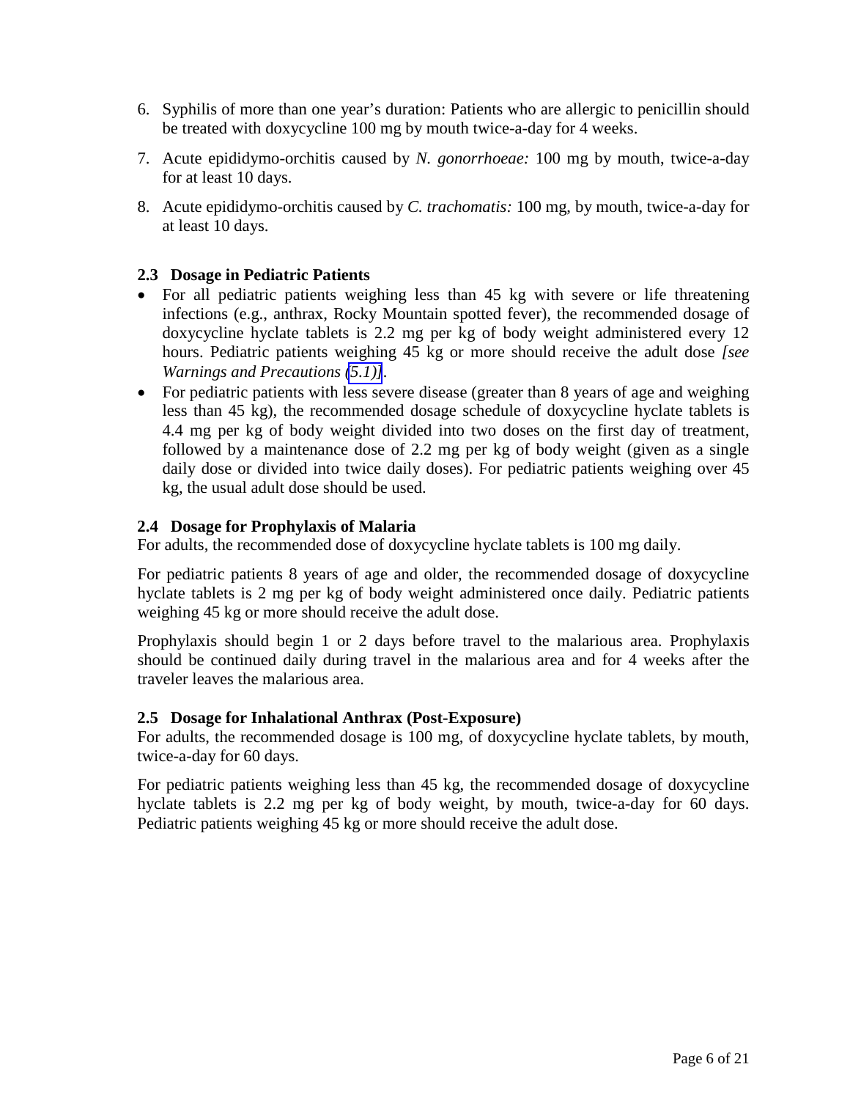- <span id="page-5-6"></span><span id="page-5-0"></span>6. Syphilis of more than one year's duration: Patients who are allergic to penicillin should be treated with doxycycline 100 mg by mouth twice-a-day for 4 weeks.
- <span id="page-5-5"></span>7. Acute epididymo-orchitis caused by *N. gonorrhoeae:* 100 mg by mouth, twice-a-day for at least 10 days.
- 8. Acute epididymo-orchitis caused by *C. trachomatis:* 100 mg, by mouth, twice-a-day for at least 10 days.

## **2.3 Dosage in Pediatric Patients**

- <span id="page-5-4"></span><span id="page-5-3"></span><span id="page-5-2"></span><span id="page-5-1"></span>• For all pediatric patients weighing less than 45 kg with severe or life threatening infections (e.g., anthrax, Rocky Mountain spotted fever), the recommended dosage of doxycycline hyclate tablets is 2.2 mg per kg of body weight administered every 12 hours. Pediatric patients weighing 45 kg or more should receive the adult dose *[see Warnings and Precautions [\(5.1\)\]](#page-6-5).*
- For pediatric patients with less severe disease (greater than 8 years of age and weighing less than 45 kg), the recommended dosage schedule of doxycycline hyclate tablets is 4.4 mg per kg of body weight divided into two doses on the first day of treatment, followed by a maintenance dose of 2.2 mg per kg of body weight (given as a single daily dose or divided into twice daily doses). For pediatric patients weighing over 45 kg, the usual adult dose should be used.

## **2.4 Dosage for Prophylaxis of Malaria**

For adults, the recommended dose of doxycycline hyclate tablets is 100 mg daily.

For pediatric patients 8 years of age and older, the recommended dosage of doxycycline hyclate tablets is 2 mg per kg of body weight administered once daily. Pediatric patients weighing 45 kg or more should receive the adult dose.

Prophylaxis should begin 1 or 2 days before travel to the malarious area. Prophylaxis should be continued daily during travel in the malarious area and for 4 weeks after the traveler leaves the malarious area.

## **2.5 Dosage for Inhalational Anthrax (Post-Exposure)**

For adults, the recommended dosage is 100 mg, of doxycycline hyclate tablets, by mouth, twice-a-day for 60 days.

For pediatric patients weighing less than 45 kg, the recommended dosage of doxycycline hyclate tablets is 2.2 mg per kg of body weight, by mouth, twice-a-day for 60 days. Pediatric patients weighing 45 kg or more should receive the adult dose.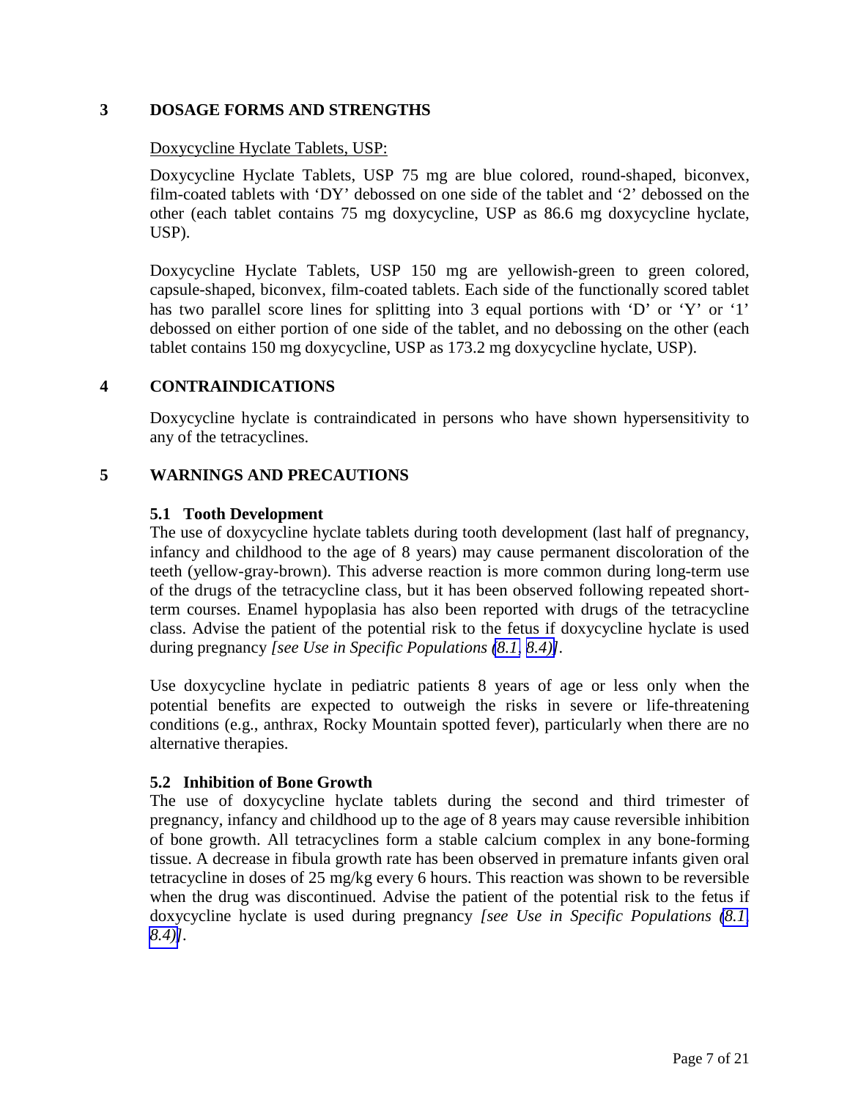## <span id="page-6-7"></span><span id="page-6-6"></span><span id="page-6-4"></span><span id="page-6-3"></span>**3 DOSAGE FORMS AND STRENGTHS**

## <span id="page-6-0"></span>Doxycycline Hyclate Tablets, USP:

<span id="page-6-5"></span>Doxycycline Hyclate Tablets, USP 75 mg are blue colored, round-shaped, biconvex, film-coated tablets with 'DY' debossed on one side of the tablet and '2' debossed on the other (each tablet contains 75 mg doxycycline, USP as 86.6 mg doxycycline hyclate, USP).

<span id="page-6-1"></span>Doxycycline Hyclate Tablets, USP 150 mg are yellowish-green to green colored, capsule-shaped, biconvex, film-coated tablets. Each side of the functionally scored tablet has two parallel score lines for splitting into 3 equal portions with 'D' or 'Y' or '1' debossed on either portion of one side of the tablet, and no debossing on the other (each tablet contains 150 mg doxycycline, USP as 173.2 mg doxycycline hyclate, USP).

## <span id="page-6-8"></span>**4 CONTRAINDICATIONS**

<span id="page-6-2"></span>Doxycycline hyclate is contraindicated in persons who have shown hypersensitivity to any of the tetracyclines.

#### **5 WARNINGS AND PRECAUTIONS**

#### **5.1 Tooth Development**

The use of doxycycline hyclate tablets during tooth development (last half of pregnancy, infancy and childhood to the age of 8 years) may cause permanent discoloration of the teeth (yellow-gray-brown). This adverse reaction is more common during long-term use of the drugs of the tetracycline class, but it has been observed following repeated shortterm courses. Enamel hypoplasia has also been reported with drugs of the tetracycline class. Advise the patient of the potential risk to the fetus if doxycycline hyclate is used during pregnancy *[see Use in Specific Populations [\(8.1,](#page-10-2) [8.4\)\]](#page-11-1).* 

Use doxycycline hyclate in pediatric patients 8 years of age or less only when the potential benefits are expected to outweigh the risks in severe or life-threatening conditions (e.g., anthrax, Rocky Mountain spotted fever), particularly when there are no alternative therapies.

#### **5.2 Inhibition of Bone Growth**

The use of doxycycline hyclate tablets during the second and third trimester of pregnancy, infancy and childhood up to the age of 8 years may cause reversible inhibition of bone growth. All tetracyclines form a stable calcium complex in any bone-forming tissue. A decrease in fibula growth rate has been observed in premature infants given oral tetracycline in doses of 25 mg/kg every 6 hours. This reaction was shown to be reversible when the drug was discontinued. Advise the patient of the potential risk to the fetus if doxycycline hyclate is used during pregnancy *[see Use in Specific Populations [\(8.1,](#page-10-2) [8.4\)\]](#page-11-2).*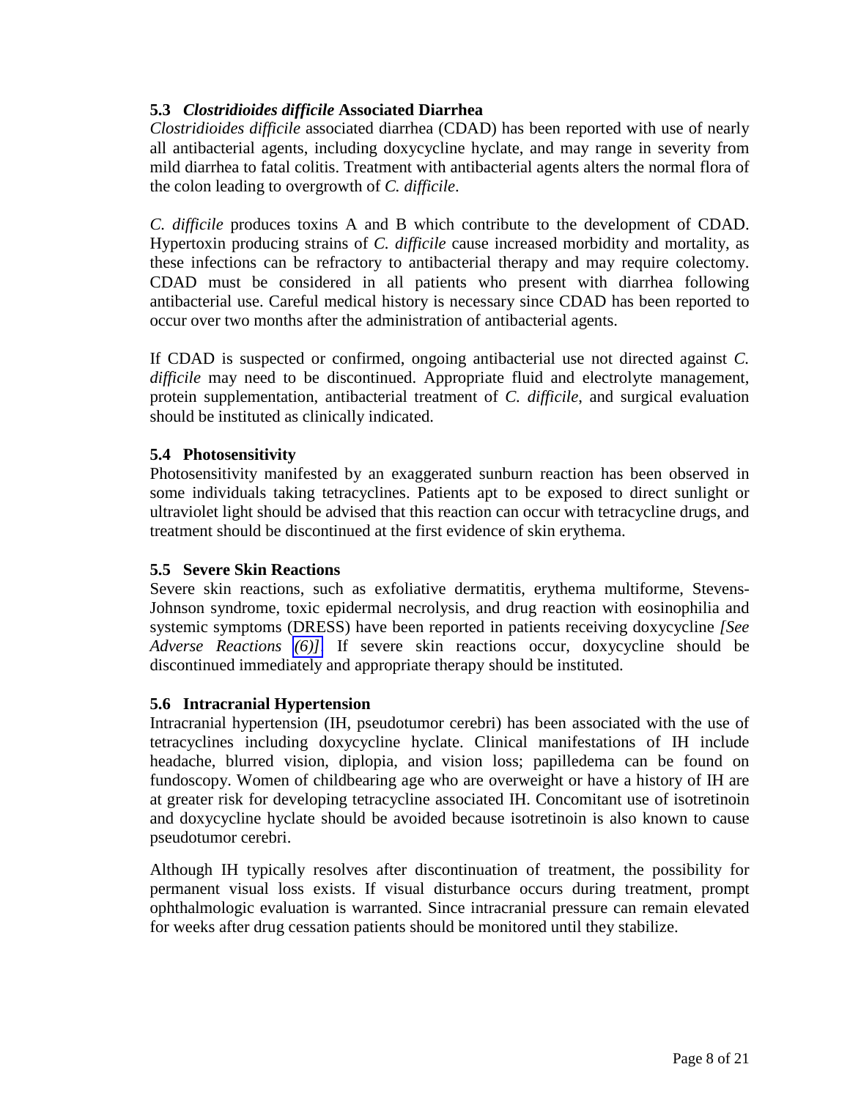## <span id="page-7-5"></span><span id="page-7-4"></span><span id="page-7-3"></span><span id="page-7-2"></span><span id="page-7-0"></span>**5.3** *Clostridioides difficile* **Associated Diarrhea**

*Clostridioides difficile* associated diarrhea (CDAD) has been reported with use of nearly all antibacterial agents, including doxycycline hyclate, and may range in severity from mild diarrhea to fatal colitis. Treatment with antibacterial agents alters the normal flora of the colon leading to overgrowth of *C. difficile*.

*C. difficile* produces toxins A and B which contribute to the development of CDAD. Hypertoxin producing strains of *C. difficile* cause increased morbidity and mortality, as these infections can be refractory to antibacterial therapy and may require colectomy. CDAD must be considered in all patients who present with diarrhea following antibacterial use. Careful medical history is necessary since CDAD has been reported to occur over two months after the administration of antibacterial agents.

<span id="page-7-1"></span>If CDAD is suspected or confirmed, ongoing antibacterial use not directed against *C. difficile* may need to be discontinued. Appropriate fluid and electrolyte management, protein supplementation, antibacterial treatment of *C. difficile*, and surgical evaluation should be instituted as clinically indicated.

## **5.4 Photosensitivity**

Photosensitivity manifested by an exaggerated sunburn reaction has been observed in some individuals taking tetracyclines. Patients apt to be exposed to direct sunlight or ultraviolet light should be advised that this reaction can occur with tetracycline drugs, and treatment should be discontinued at the first evidence of skin erythema.

## **5.5 Severe Skin Reactions**

Severe skin reactions, such as exfoliative dermatitis, erythema multiforme, Stevens-Johnson syndrome, toxic epidermal necrolysis, and drug reaction with eosinophilia and systemic symptoms (DRESS) have been reported in patients receiving doxycycline *[See Adverse Reactions [\(6\)\]](#page-8-7)*. If severe skin reactions occur, doxycycline should be discontinued immediately and appropriate therapy should be instituted.

## **5.6 Intracranial Hypertension**

Intracranial hypertension (IH, pseudotumor cerebri) has been associated with the use of tetracyclines including doxycycline hyclate. Clinical manifestations of IH include headache, blurred vision, diplopia, and vision loss; papilledema can be found on fundoscopy. Women of childbearing age who are overweight or have a history of IH are at greater risk for developing tetracycline associated IH. Concomitant use of isotretinoin and doxycycline hyclate should be avoided because isotretinoin is also known to cause pseudotumor cerebri.

Although IH typically resolves after discontinuation of treatment, the possibility for permanent visual loss exists. If visual disturbance occurs during treatment, prompt ophthalmologic evaluation is warranted. Since intracranial pressure can remain elevated for weeks after drug cessation patients should be monitored until they stabilize.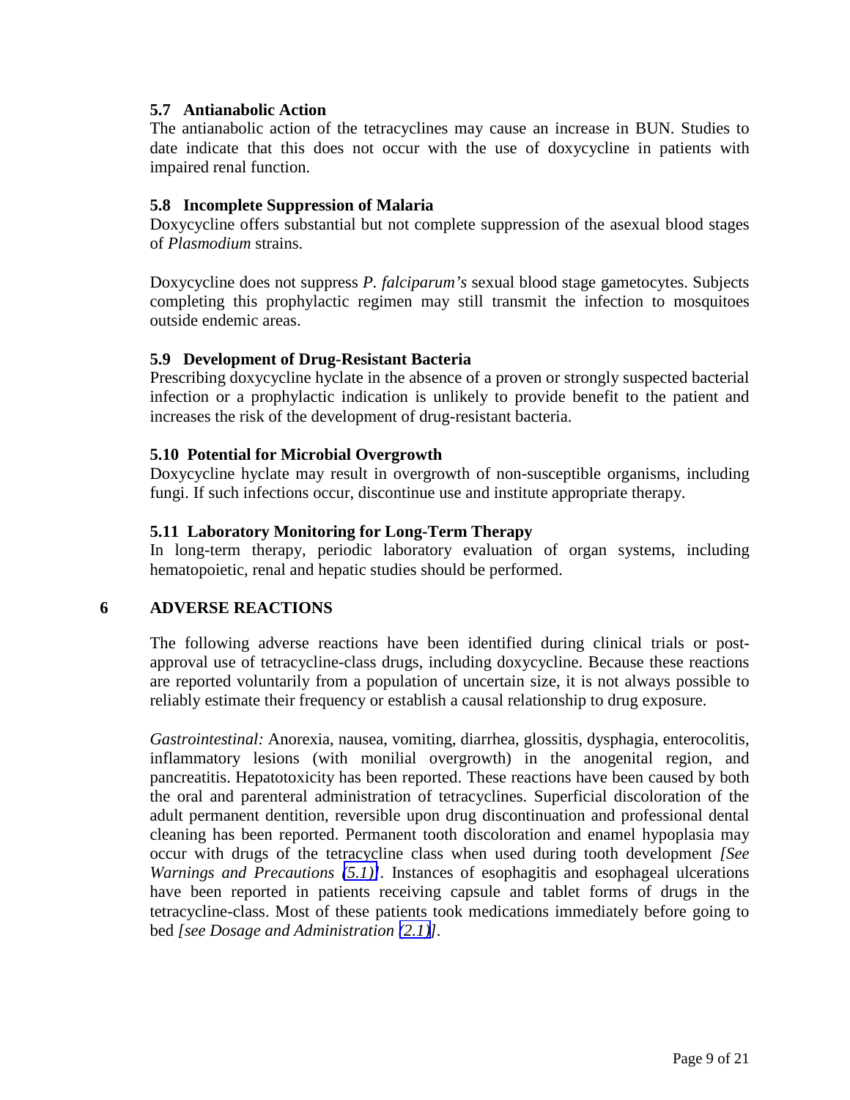#### <span id="page-8-8"></span><span id="page-8-5"></span><span id="page-8-4"></span><span id="page-8-1"></span>**5.7 Antianabolic Action**

<span id="page-8-2"></span>The antianabolic action of the tetracyclines may cause an increase in BUN. Studies to date indicate that this does not occur with the use of doxycycline in patients with impaired renal function.

#### <span id="page-8-0"></span>**5.8 Incomplete Suppression of Malaria**

<span id="page-8-7"></span>Doxycycline offers substantial but not complete suppression of the asexual blood stages of *Plasmodium* strains.

<span id="page-8-6"></span>Doxycycline does not suppress *P. falciparum's* sexual blood stage gametocytes. Subjects completing this prophylactic regimen may still transmit the infection to mosquitoes outside endemic areas.

## <span id="page-8-3"></span>**5.9 Development of Drug-Resistant Bacteria**

Prescribing doxycycline hyclate in the absence of a proven or strongly suspected bacterial infection or a prophylactic indication is unlikely to provide benefit to the patient and increases the risk of the development of drug-resistant bacteria.

#### **5.10 Potential for Microbial Overgrowth**

Doxycycline hyclate may result in overgrowth of non-susceptible organisms, including fungi. If such infections occur, discontinue use and institute appropriate therapy.

## **5.11 Laboratory Monitoring for Long-Term Therapy**

In long-term therapy, periodic laboratory evaluation of organ systems, including hematopoietic, renal and hepatic studies should be performed.

## **6 ADVERSE REACTIONS**

The following adverse reactions have been identified during clinical trials or postapproval use of tetracycline-class drugs, including doxycycline. Because these reactions are reported voluntarily from a population of uncertain size, it is not always possible to reliably estimate their frequency or establish a causal relationship to drug exposure.

*Gastrointestinal:* Anorexia, nausea, vomiting, diarrhea, glossitis, dysphagia, enterocolitis, inflammatory lesions (with monilial overgrowth) in the anogenital region, and pancreatitis. Hepatotoxicity has been reported. These reactions have been caused by both the oral and parenteral administration of tetracyclines. Superficial discoloration of the adult permanent dentition, reversible upon drug discontinuation and professional dental cleaning has been reported. Permanent tooth discoloration and enamel hypoplasia may occur with drugs of the tetracycline class when used during tooth development *[See Warnings and Precautions [\(5.1\)\]](#page-6-6).* Instances of esophagitis and esophageal ulcerations have been reported in patients receiving capsule and tablet forms of drugs in the tetracycline-class. Most of these patients took medications immediately before going to bed *[see Dosage and Administration [\(2.1\)\]](#page-4-6).*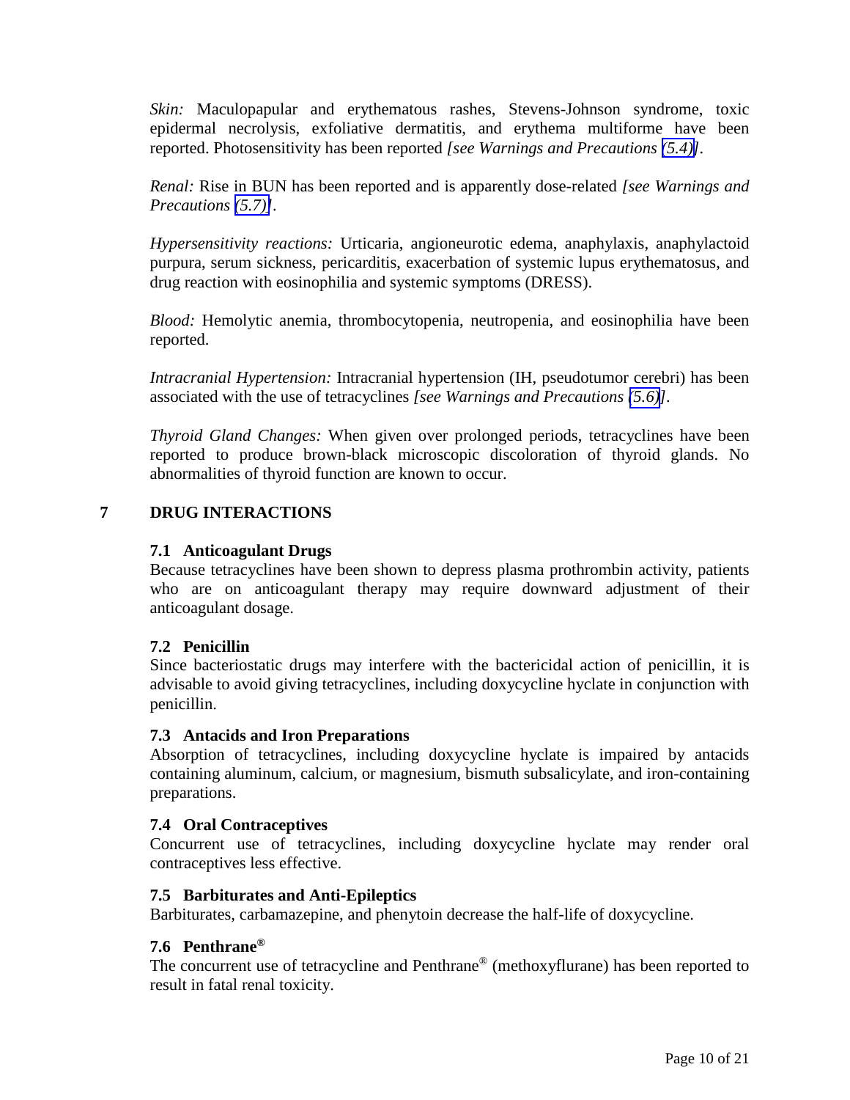<span id="page-9-5"></span><span id="page-9-4"></span><span id="page-9-2"></span><span id="page-9-1"></span><span id="page-9-0"></span>*Skin:* Maculopapular and erythematous rashes, Stevens-Johnson syndrome, toxic epidermal necrolysis, exfoliative dermatitis, and erythema multiforme have been reported. Photosensitivity has been reported *[see Warnings and Precautions [\(5.4\)\]](#page-7-4).*

*Renal:* Rise in BUN has been reported and is apparently dose-related *[see Warnings and Precautions [\(5.7\)\]](#page-8-5).*

*Hypersensitivity reactions:* Urticaria, angioneurotic edema, anaphylaxis, anaphylactoid purpura, serum sickness, pericarditis, exacerbation of systemic lupus erythematosus, and drug reaction with eosinophilia and systemic symptoms (DRESS).

*Blood:* Hemolytic anemia, thrombocytopenia, neutropenia, and eosinophilia have been reported.

*Intracranial Hypertension:* Intracranial hypertension (IH, pseudotumor cerebri) has been associated with the use of tetracyclines *[see Warnings and Precautions [\(5.6\)](#page-7-4)].*

<span id="page-9-3"></span>*Thyroid Gland Changes:* When given over prolonged periods, tetracyclines have been reported to produce brown-black microscopic discoloration of thyroid glands. No abnormalities of thyroid function are known to occur.

## **7 DRUG INTERACTIONS**

## **7.1 Anticoagulant Drugs**

Because tetracyclines have been shown to depress plasma prothrombin activity, patients who are on anticoagulant therapy may require downward adjustment of their anticoagulant dosage.

## **7.2 Penicillin**

Since bacteriostatic drugs may interfere with the bactericidal action of penicillin, it is advisable to avoid giving tetracyclines, including doxycycline hyclate in conjunction with penicillin.

#### **7.3 Antacids and Iron Preparations**

Absorption of tetracyclines, including doxycycline hyclate is impaired by antacids containing aluminum, calcium, or magnesium, bismuth subsalicylate, and iron-containing preparations.

#### **7.4 Oral Contraceptives**

Concurrent use of tetracyclines, including doxycycline hyclate may render oral contraceptives less effective.

## **7.5 Barbiturates and Anti-Epileptics**

Barbiturates, carbamazepine, and phenytoin decrease the half-life of doxycycline.

## **7.6 Penthrane®**

The concurrent use of tetracycline and Penthrane® (methoxyflurane) has been reported to result in fatal renal toxicity.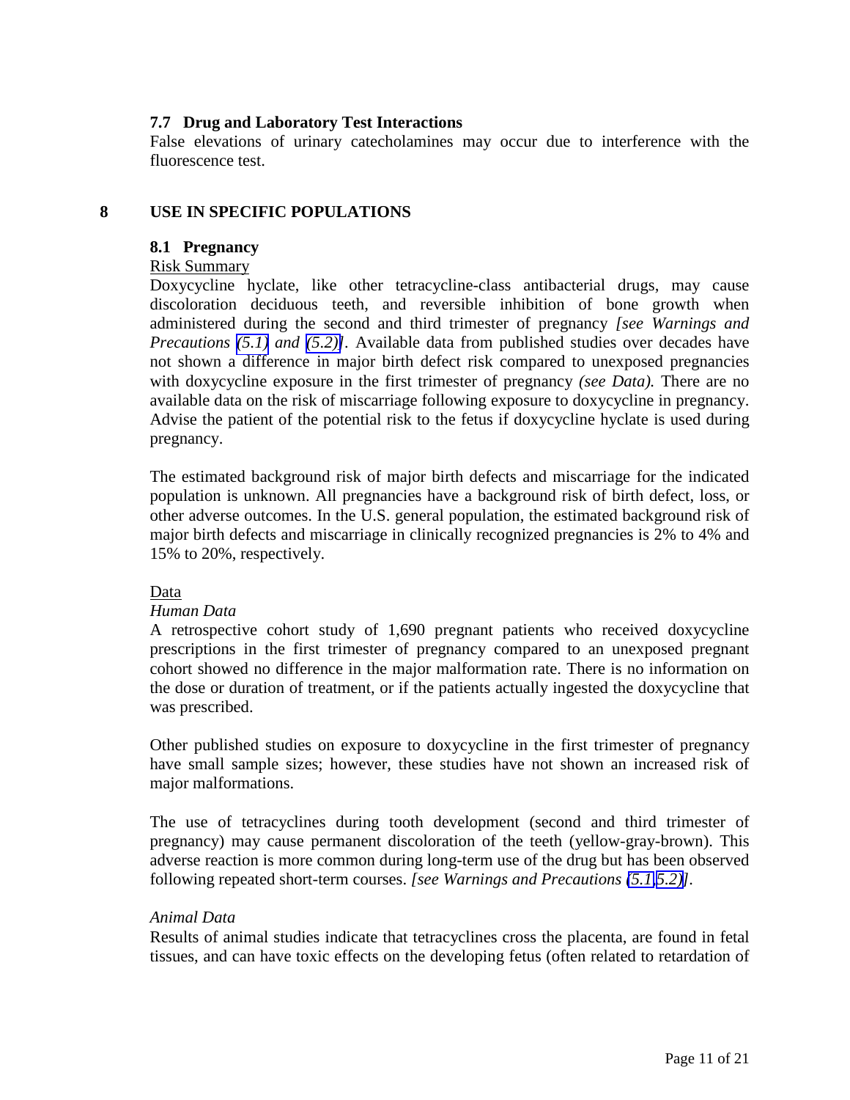## <span id="page-10-2"></span><span id="page-10-1"></span><span id="page-10-0"></span>**7.7 Drug and Laboratory Test Interactions**

False elevations of urinary catecholamines may occur due to interference with the fluorescence test.

## <span id="page-10-3"></span>**8 USE IN SPECIFIC POPULATIONS**

#### **8.1 Pregnancy**

### Risk Summary

Doxycycline hyclate, like other tetracycline-class antibacterial drugs, may cause discoloration deciduous teeth, and reversible inhibition of bone growth when administered during the second and third trimester of pregnancy *[see Warnings and Precautions [\(5.1\)](#page-6-6) and [\(5.2\)\]](#page-6-6).* Available data from published studies over decades have not shown a difference in major birth defect risk compared to unexposed pregnancies with doxycycline exposure in the first trimester of pregnancy *(see Data).* There are no available data on the risk of miscarriage following exposure to doxycycline in pregnancy. Advise the patient of the potential risk to the fetus if doxycycline hyclate is used during pregnancy.

The estimated background risk of major birth defects and miscarriage for the indicated population is unknown. All pregnancies have a background risk of birth defect, loss, or other adverse outcomes. In the U.S. general population, the estimated background risk of major birth defects and miscarriage in clinically recognized pregnancies is 2% to 4% and 15% to 20%, respectively.

## Data

## *Human Data*

A retrospective cohort study of 1,690 pregnant patients who received doxycycline prescriptions in the first trimester of pregnancy compared to an unexposed pregnant cohort showed no difference in the major malformation rate. There is no information on the dose or duration of treatment, or if the patients actually ingested the doxycycline that was prescribed.

Other published studies on exposure to doxycycline in the first trimester of pregnancy have small sample sizes; however, these studies have not shown an increased risk of major malformations.

The use of tetracyclines during tooth development (second and third trimester of pregnancy) may cause permanent discoloration of the teeth (yellow-gray-brown). This adverse reaction is more common during long-term use of the drug but has been observed following repeated short-term courses. *[see Warnings and Precautions [\(5.1,5.2\)\]](#page-6-4).*

## *Animal Data*

Results of animal studies indicate that tetracyclines cross the placenta, are found in fetal tissues, and can have toxic effects on the developing fetus (often related to retardation of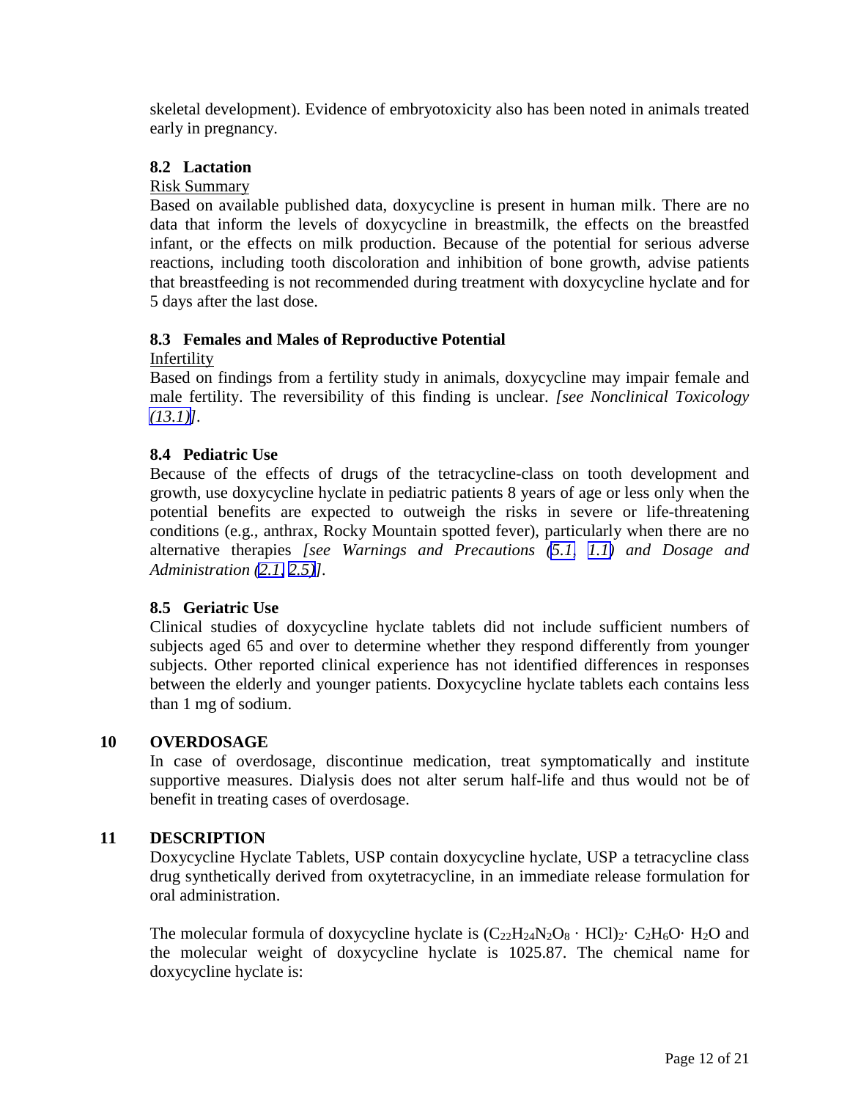<span id="page-11-5"></span><span id="page-11-3"></span><span id="page-11-2"></span><span id="page-11-1"></span><span id="page-11-0"></span>skeletal development). Evidence of embryotoxicity also has been noted in animals treated early in pregnancy.

## **8.2 Lactation**

## Risk Summary

Based on available published data, doxycycline is present in human milk. There are no data that inform the levels of doxycycline in breastmilk, the effects on the breastfed infant, or the effects on milk production. Because of the potential for serious adverse reactions, including tooth discoloration and inhibition of bone growth, advise patients that breastfeeding is not recommended during treatment with doxycycline hyclate and for 5 days after the last dose.

## <span id="page-11-4"></span>**8.3 Females and Males of Reproductive Potential**

#### Infertility

Based on findings from a fertility study in animals, doxycycline may impair female and male fertility. The reversibility of this finding is unclear. *[see Nonclinical Toxicology [\(13.1\)\]](#page-15-2).*

## **8.4 Pediatric Use**

Because of the effects of drugs of the tetracycline-class on tooth development and growth, use doxycycline hyclate in pediatric patients 8 years of age or less only when the potential benefits are expected to outweigh the risks in severe or life-threatening conditions (e.g., anthrax, Rocky Mountain spotted fever), particularly when there are no alternative therapies *[see Warnings and Precautions [\(5.1,](#page-6-4) [1.1\)](#page-2-4) and Dosage and Administration [\(2.1,](#page-4-7) [2.5\)](#page-5-6)].* 

## **8.5 Geriatric Use**

Clinical studies of doxycycline hyclate tablets did not include sufficient numbers of subjects aged 65 and over to determine whether they respond differently from younger subjects. Other reported clinical experience has not identified differences in responses between the elderly and younger patients. Doxycycline hyclate tablets each contains less than 1 mg of sodium.

## **10 OVERDOSAGE**

In case of overdosage, discontinue medication, treat symptomatically and institute supportive measures. Dialysis does not alter serum half-life and thus would not be of benefit in treating cases of overdosage.

## **11 DESCRIPTION**

Doxycycline Hyclate Tablets, USP contain doxycycline hyclate, USP a tetracycline class drug synthetically derived from oxytetracycline, in an immediate release formulation for oral administration.

The molecular formula of doxycycline hyclate is  $(C_{22}H_{24}N_2O_8 \cdot HCl)_2 \cdot C_2H_6O \cdot H_2O$  and the molecular weight of doxycycline hyclate is 1025.87. The chemical name for doxycycline hyclate is: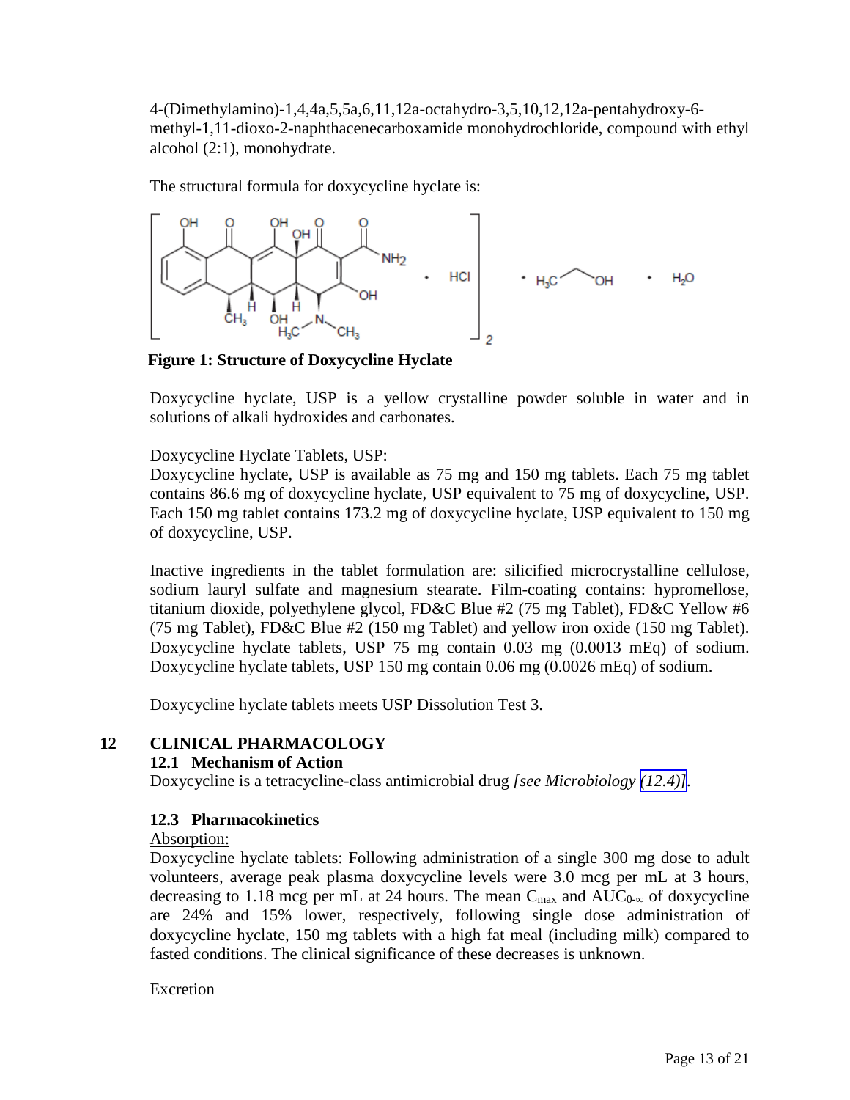<span id="page-12-2"></span><span id="page-12-1"></span>4-(Dimethylamino)-1,4,4a,5,5a,6,11,12a-octahydro-3,5,10,12,12a-pentahydroxy-6 methyl-1,11-dioxo-2-naphthacenecarboxamide monohydrochloride, compound with ethyl alcohol (2:1), monohydrate.

The structural formula for doxycycline hyclate is:



**Figure 1: Structure of Doxycycline Hyclate**

Doxycycline hyclate, USP is a yellow crystalline powder soluble in water and in solutions of alkali hydroxides and carbonates.

## <span id="page-12-0"></span>Doxycycline Hyclate Tablets, USP:

<span id="page-12-3"></span>Doxycycline hyclate, USP is available as 75 mg and 150 mg tablets. Each 75 mg tablet contains 86.6 mg of doxycycline hyclate, USP equivalent to 75 mg of doxycycline, USP. Each 150 mg tablet contains 173.2 mg of doxycycline hyclate, USP equivalent to 150 mg of doxycycline, USP.

Inactive ingredients in the tablet formulation are: silicified microcrystalline cellulose, sodium lauryl sulfate and magnesium stearate. Film-coating contains: hypromellose, titanium dioxide, polyethylene glycol, FD&C Blue #2 (75 mg Tablet), FD&C Yellow #6 (75 mg Tablet), FD&C Blue #2 (150 mg Tablet) and yellow iron oxide (150 mg Tablet). Doxycycline hyclate tablets, USP 75 mg contain 0.03 mg (0.0013 mEq) of sodium. Doxycycline hyclate tablets, USP 150 mg contain 0.06 mg (0.0026 mEq) of sodium.

Doxycycline hyclate tablets meets USP Dissolution Test 3.

## **12 CLINICAL PHARMACOLOGY**

## **12.1 Mechanism of Action**

Doxycycline is a tetracycline-class antimicrobial drug *[see Microbiology [\(12.4\)\]](#page-13-1).*

## **12.3 Pharmacokinetics**

Absorption:

Doxycycline hyclate tablets: Following administration of a single 300 mg dose to adult volunteers, average peak plasma doxycycline levels were 3.0 mcg per mL at 3 hours, decreasing to 1.18 mcg per mL at 24 hours. The mean  $C_{\text{max}}$  and  $AUC_{0-\infty}$  of doxycycline are 24% and 15% lower, respectively, following single dose administration of doxycycline hyclate, 150 mg tablets with a high fat meal (including milk) compared to fasted conditions. The clinical significance of these decreases is unknown.

## Excretion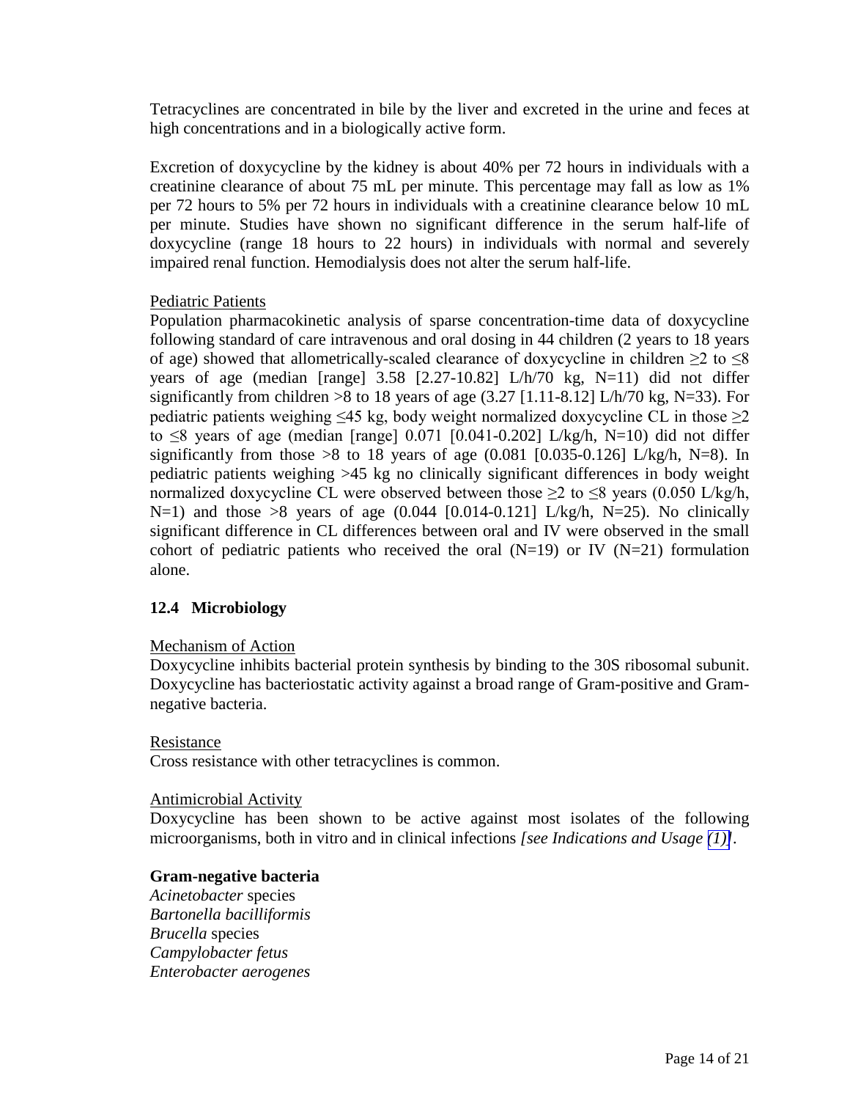<span id="page-13-0"></span>Tetracyclines are concentrated in bile by the liver and excreted in the urine and feces at high concentrations and in a biologically active form.

Excretion of doxycycline by the kidney is about 40% per 72 hours in individuals with a creatinine clearance of about 75 mL per minute. This percentage may fall as low as 1% per 72 hours to 5% per 72 hours in individuals with a creatinine clearance below 10 mL per minute. Studies have shown no significant difference in the serum half-life of doxycycline (range 18 hours to 22 hours) in individuals with normal and severely impaired renal function. Hemodialysis does not alter the serum half-life.

## Pediatric Patients

<span id="page-13-1"></span>Population pharmacokinetic analysis of sparse concentration-time data of doxycycline following standard of care intravenous and oral dosing in 44 children (2 years to 18 years of age) showed that allometrically-scaled clearance of doxycycline in children  $\geq 2$  to  $\leq 8$ years of age (median [range] 3.58 [2.27-10.82] L/h/70 kg, N=11) did not differ significantly from children >8 to 18 years of age  $(3.27 \mid 1.11 - 8.12 \mid L/h/70 \text{ kg}, N=33)$ . For pediatric patients weighing  $\leq 45$  kg, body weight normalized doxycycline CL in those  $\geq 2$ to  $\leq$ 8 years of age (median [range] 0.071 [0.041-0.202] L/kg/h, N=10) did not differ significantly from those >8 to 18 years of age  $(0.081 \; [0.035 \; 0.126] \; L/kg/h$ , N=8). In pediatric patients weighing >45 kg no clinically significant differences in body weight normalized doxycycline CL were observed between those  $\geq 2$  to  $\leq 8$  years (0.050 L/kg/h,  $N=1$ ) and those  $>8$  years of age (0.044 [0.014-0.121] L/kg/h, N=25). No clinically significant difference in CL differences between oral and IV were observed in the small cohort of pediatric patients who received the oral  $(N=19)$  or IV  $(N=21)$  formulation alone.

## **12.4 Microbiology**

## Mechanism of Action

Doxycycline inhibits bacterial protein synthesis by binding to the 30S ribosomal subunit. Doxycycline has bacteriostatic activity against a broad range of Gram-positive and Gramnegative bacteria.

## Resistance

Cross resistance with other tetracyclines is common.

## Antimicrobial Activity

Doxycycline has been shown to be active against most isolates of the following microorganisms, both in vitro and in clinical infections *[see Indications and Usage [\(1\)\]](#page-2-5).*

## **Gram-negative bacteria**

*Acinetobacter* species *Bartonella bacilliformis Brucella* species *Campylobacter fetus Enterobacter aerogenes*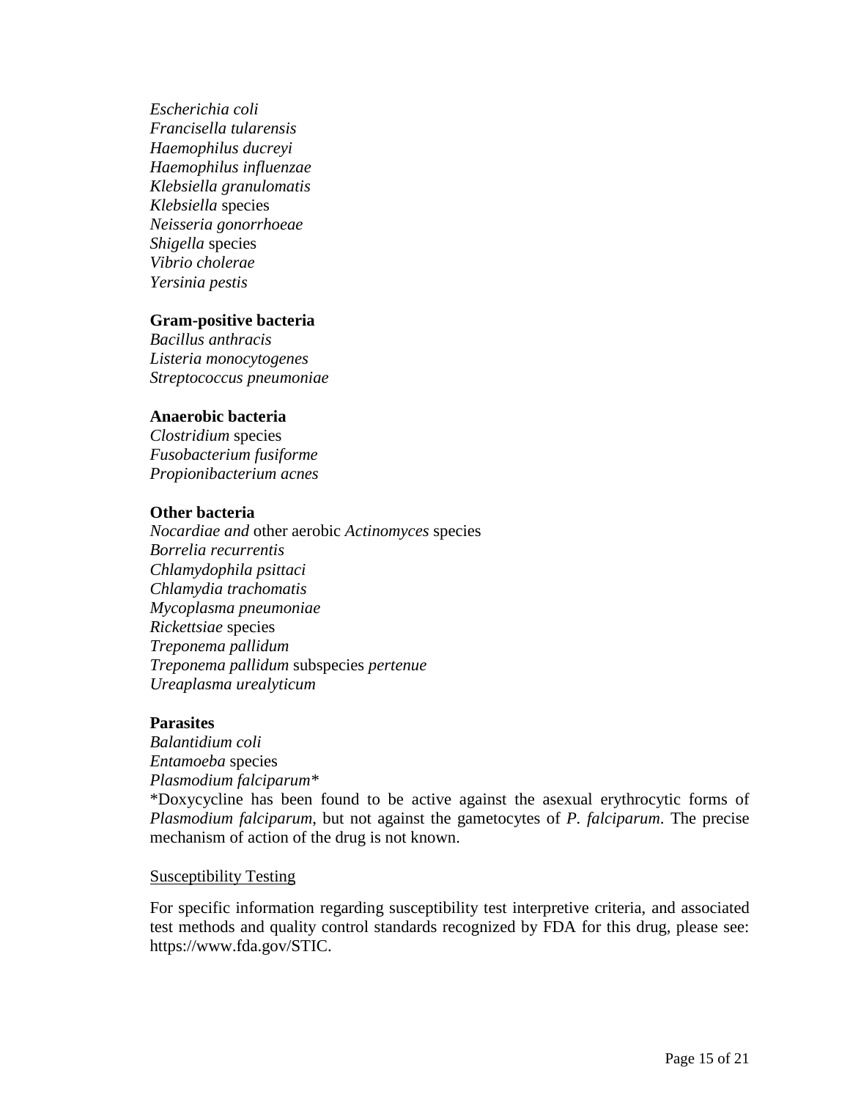*Escherichia coli Francisella tularensis Haemophilus ducreyi Haemophilus influenzae Klebsiella granulomatis Klebsiella* species *Neisseria gonorrhoeae Shigella* species *Vibrio cholerae Yersinia pestis*

#### **Gram-positive bacteria**

*Bacillus anthracis Listeria monocytogenes Streptococcus pneumoniae* 

#### **Anaerobic bacteria**

*Clostridium* species *Fusobacterium fusiforme Propionibacterium acnes* 

#### **Other bacteria**

*Nocardiae and* other aerobic *Actinomyces* species *Borrelia recurrentis Chlamydophila psittaci Chlamydia trachomatis Mycoplasma pneumoniae Rickettsiae* species *Treponema pallidum Treponema pallidum* subspecies *pertenue Ureaplasma urealyticum* 

#### **Parasites**

*Balantidium coli Entamoeba* species *Plasmodium falciparum\**  \*Doxycycline has been found to be active against the asexual erythrocytic forms of *Plasmodium falciparum*, but not against the gametocytes of *P. falciparum*. The precise mechanism of action of the drug is not known.

#### Susceptibility Testing

For specific information regarding susceptibility test interpretive criteria, and associated test methods and quality control standards recognized by FDA for this drug, please see: https://www.fda.gov/STIC.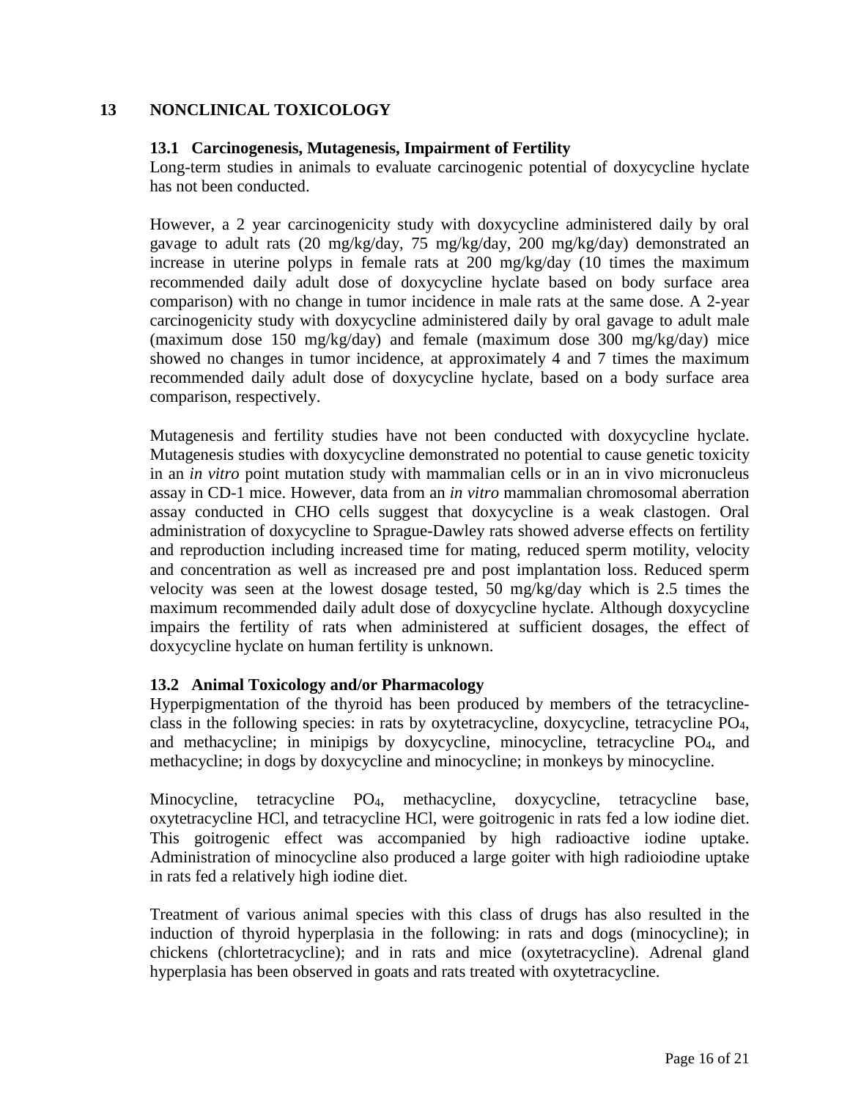## <span id="page-15-2"></span><span id="page-15-0"></span>**13 NONCLINICAL TOXICOLOGY**

## **13.1 Carcinogenesis, Mutagenesis, Impairment of Fertility**

Long-term studies in animals to evaluate carcinogenic potential of doxycycline hyclate has not been conducted.

However, a 2 year carcinogenicity study with doxycycline administered daily by oral gavage to adult rats (20 mg/kg/day, 75 mg/kg/day, 200 mg/kg/day) demonstrated an increase in uterine polyps in female rats at 200 mg/kg/day (10 times the maximum recommended daily adult dose of doxycycline hyclate based on body surface area comparison) with no change in tumor incidence in male rats at the same dose. A 2-year carcinogenicity study with doxycycline administered daily by oral gavage to adult male (maximum dose 150 mg/kg/day) and female (maximum dose 300 mg/kg/day) mice showed no changes in tumor incidence, at approximately 4 and 7 times the maximum recommended daily adult dose of doxycycline hyclate, based on a body surface area comparison, respectively.

<span id="page-15-1"></span>Mutagenesis and fertility studies have not been conducted with doxycycline hyclate. Mutagenesis studies with doxycycline demonstrated no potential to cause genetic toxicity in an *in vitro* point mutation study with mammalian cells or in an in vivo micronucleus assay in CD-1 mice. However, data from an *in vitro* mammalian chromosomal aberration assay conducted in CHO cells suggest that doxycycline is a weak clastogen. Oral administration of doxycycline to Sprague-Dawley rats showed adverse effects on fertility and reproduction including increased time for mating, reduced sperm motility, velocity and concentration as well as increased pre and post implantation loss. Reduced sperm velocity was seen at the lowest dosage tested, 50 mg/kg/day which is 2.5 times the maximum recommended daily adult dose of doxycycline hyclate. Although doxycycline impairs the fertility of rats when administered at sufficient dosages, the effect of doxycycline hyclate on human fertility is unknown.

## **13.2 Animal Toxicology and/or Pharmacology**

Hyperpigmentation of the thyroid has been produced by members of the tetracyclineclass in the following species: in rats by oxytetracycline, doxycycline, tetracycline PO4, and methacycline; in minipigs by doxycycline, minocycline, tetracycline PO4, and methacycline; in dogs by doxycycline and minocycline; in monkeys by minocycline.

Minocycline, tetracycline PO4, methacycline, doxycycline, tetracycline base, oxytetracycline HCl, and tetracycline HCl, were goitrogenic in rats fed a low iodine diet. This goitrogenic effect was accompanied by high radioactive iodine uptake. Administration of minocycline also produced a large goiter with high radioiodine uptake in rats fed a relatively high iodine diet.

Treatment of various animal species with this class of drugs has also resulted in the induction of thyroid hyperplasia in the following: in rats and dogs (minocycline); in chickens (chlortetracycline); and in rats and mice (oxytetracycline). Adrenal gland hyperplasia has been observed in goats and rats treated with oxytetracycline.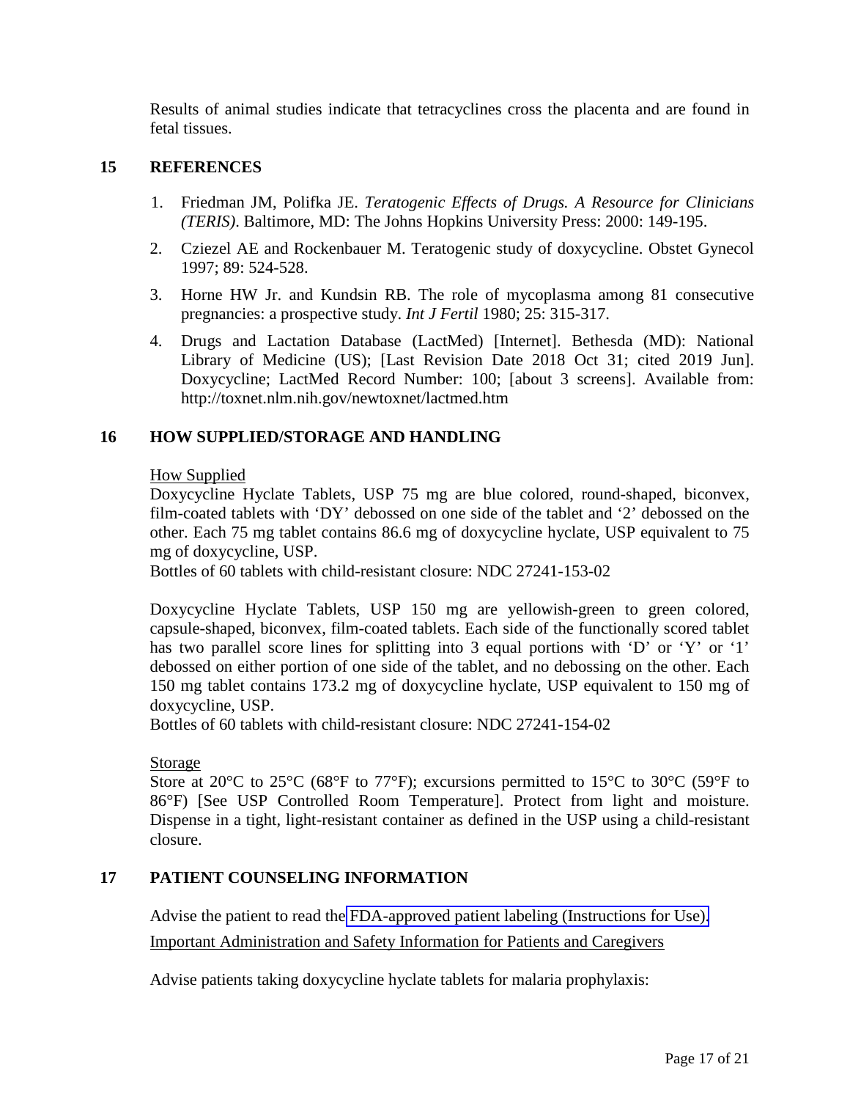<span id="page-16-2"></span>Results of animal studies indicate that tetracyclines cross the placenta and are found in fetal tissues.

#### <span id="page-16-0"></span>**15 REFERENCES**

- 1. Friedman JM, Polifka JE. *Teratogenic Effects of Drugs. A Resource for Clinicians (TERIS)*. Baltimore, MD: The Johns Hopkins University Press: 2000: 149-195.
- 2. Cziezel AE and Rockenbauer M. Teratogenic study of doxycycline. Obstet Gynecol 1997; 89: 524-528.
- 3. Horne HW Jr. and Kundsin RB. The role of mycoplasma among 81 consecutive pregnancies: a prospective study. *Int J Fertil* 1980; 25: 315-317.
- 4. Drugs and Lactation Database (LactMed) [Internet]. Bethesda (MD): National Library of Medicine (US); [Last Revision Date 2018 Oct 31; cited 2019 Jun]. Doxycycline; LactMed Record Number: 100; [about 3 screens]. Available from: http://toxnet.nlm.nih.gov/newtoxnet/lactmed.htm

## <span id="page-16-1"></span>**16 HOW SUPPLIED/STORAGE AND HANDLING**

#### How Supplied

Doxycycline Hyclate Tablets, USP 75 mg are blue colored, round-shaped, biconvex, film-coated tablets with 'DY' debossed on one side of the tablet and '2' debossed on the other. Each 75 mg tablet contains 86.6 mg of doxycycline hyclate, USP equivalent to 75 mg of doxycycline, USP.

Bottles of 60 tablets with child-resistant closure: NDC 27241-153-02

Doxycycline Hyclate Tablets, USP 150 mg are yellowish-green to green colored, capsule-shaped, biconvex, film-coated tablets. Each side of the functionally scored tablet has two parallel score lines for splitting into 3 equal portions with 'D' or 'Y' or '1' debossed on either portion of one side of the tablet, and no debossing on the other. Each 150 mg tablet contains 173.2 mg of doxycycline hyclate, USP equivalent to 150 mg of doxycycline, USP.

Bottles of 60 tablets with child-resistant closure: NDC 27241-154-02

#### Storage

Store at 20 $\degree$ C to 25 $\degree$ C (68 $\degree$ F to 77 $\degree$ F); excursions permitted to 15 $\degree$ C to 30 $\degree$ C (59 $\degree$ F to 86°F) [See USP Controlled Room Temperature]. Protect from light and moisture. Dispense in a tight, light-resistant container as defined in the USP using a child-resistant closure.

## **17 PATIENT COUNSELING INFORMATION**

Advise the patient to read the [FDA-approved patient labeling \(Instructions for Use\).](#page-19-1) Important Administration and Safety Information for Patients and Caregivers

Advise patients taking doxycycline hyclate tablets for malaria prophylaxis: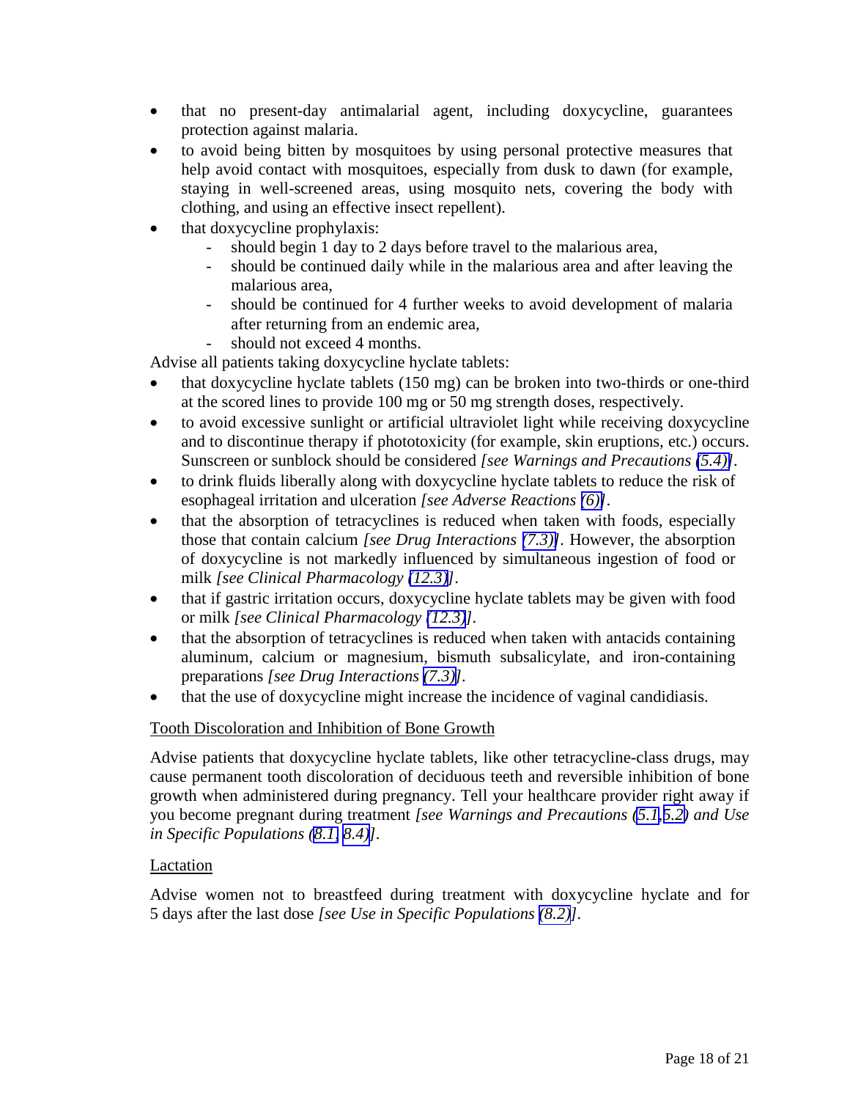- that no present-day antimalarial agent, including doxycycline, guarantees protection against malaria.
- to avoid being bitten by mosquitoes by using personal protective measures that help avoid contact with mosquitoes, especially from dusk to dawn (for example, staying in well-screened areas, using mosquito nets, covering the body with clothing, and using an effective insect repellent).
- that doxycycline prophylaxis:
	- should begin 1 day to 2 days before travel to the malarious area,
	- should be continued daily while in the malarious area and after leaving the malarious area,
	- should be continued for 4 further weeks to avoid development of malaria after returning from an endemic area,
	- should not exceed 4 months.

Advise all patients taking doxycycline hyclate tablets:

- that doxycycline hyclate tablets (150 mg) can be broken into two-thirds or one-third at the scored lines to provide 100 mg or 50 mg strength doses, respectively.
- to avoid excessive sunlight or artificial ultraviolet light while receiving doxycycline and to discontinue therapy if phototoxicity (for example, skin eruptions, etc.) occurs. Sunscreen or sunblock should be considered *[see Warnings and Precautions [\(5.4\)\]](#page-7-5).*
- to drink fluids liberally along with doxycycline hyclate tablets to reduce the risk of esophageal irritation and ulceration *[see Adverse Reactions [\(6\)\]](#page-8-8)*.
- that the absorption of tetracyclines is reduced when taken with foods, especially those that contain calcium *[see Drug Interactions [\(7.3\)\]](#page-9-5).* However, the absorption of doxycycline is not markedly influenced by simultaneous ingestion of food or milk *[see Clinical Pharmacology [\(12.3\)\]](#page-12-3)*.
- that if gastric irritation occurs, doxycycline hyclate tablets may be given with food or milk *[see Clinical Pharmacology [\(12.3\)](#page-12-3)].*
- that the absorption of tetracyclines is reduced when taken with antacids containing aluminum, calcium or magnesium, bismuth subsalicylate, and iron-containing preparations *[see Drug Interactions [\(7.3\)\]](#page-9-5).*
- that the use of doxycycline might increase the incidence of vaginal candidiasis.

## Tooth Discoloration and Inhibition of Bone Growth

Advise patients that doxycycline hyclate tablets, like other tetracycline-class drugs, may cause permanent tooth discoloration of deciduous teeth and reversible inhibition of bone growth when administered during pregnancy. Tell your healthcare provider right away if you become pregnant during treatment *[see Warnings and Precautions [\(5.1,](#page-6-7)[5.2\)](#page-6-8) and Use in Specific Populations [\(8.1,](#page-10-3) [8.4\)\]](#page-11-5).* 

## Lactation

Advise women not to breastfeed during treatment with doxycycline hyclate and for 5 days after the last dose *[see Use in Specific Populations [\(8.2\)](#page-11-1)].*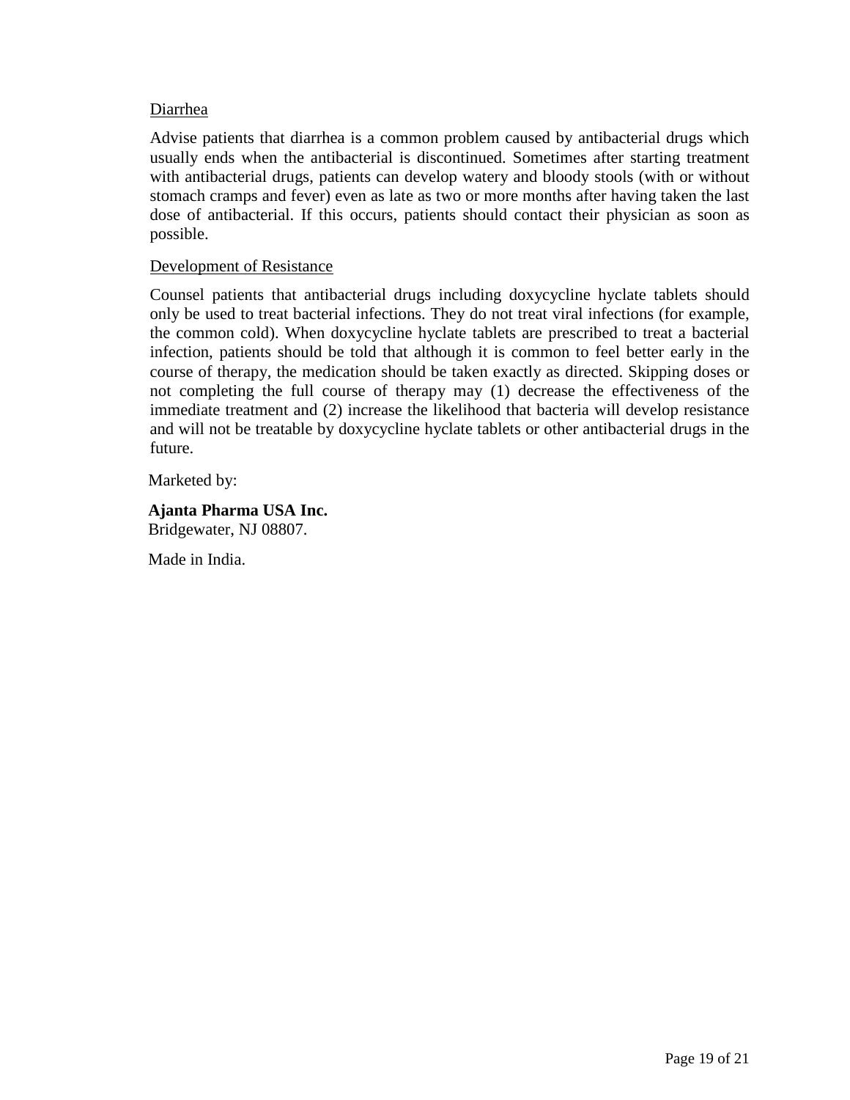## Diarrhea

Advise patients that diarrhea is a common problem caused by antibacterial drugs which usually ends when the antibacterial is discontinued. Sometimes after starting treatment with antibacterial drugs, patients can develop watery and bloody stools (with or without stomach cramps and fever) even as late as two or more months after having taken the last dose of antibacterial. If this occurs, patients should contact their physician as soon as possible.

## Development of Resistance

Counsel patients that antibacterial drugs including doxycycline hyclate tablets should only be used to treat bacterial infections. They do not treat viral infections (for example, the common cold). When doxycycline hyclate tablets are prescribed to treat a bacterial infection, patients should be told that although it is common to feel better early in the course of therapy, the medication should be taken exactly as directed. Skipping doses or not completing the full course of therapy may (1) decrease the effectiveness of the immediate treatment and (2) increase the likelihood that bacteria will develop resistance and will not be treatable by doxycycline hyclate tablets or other antibacterial drugs in the future.

Marketed by:

# **Ajanta Pharma USA Inc.**

Bridgewater, NJ 08807.

Made in India.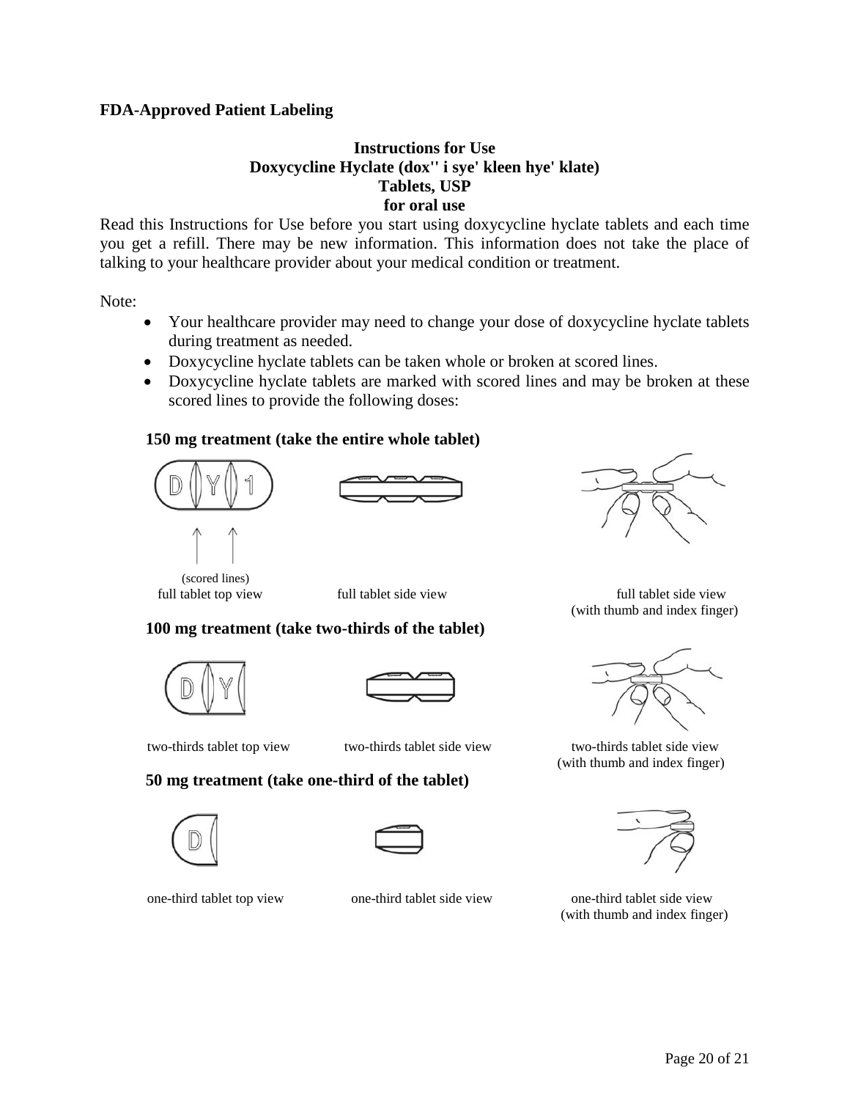## <span id="page-19-1"></span><span id="page-19-0"></span>**FDA-Approved Patient Labeling**

## **Instructions for Use Doxycycline Hyclate (dox'' i sye' kleen hye' klate) Tablets, USP for oral use**

Read this Instructions for Use before you start using doxycycline hyclate tablets and each time you get a refill. There may be new information. This information does not take the place of talking to your healthcare provider about your medical condition or treatment.

Note:

- Your healthcare provider may need to change your dose of doxycycline hyclate tablets during treatment as needed.
- Doxycycline hyclate tablets can be taken whole or broken at scored lines.
- Doxycycline hyclate tablets are marked with scored lines and may be broken at these scored lines to provide the following doses:

## **150 mg treatment (take the entire whole tablet)**







 full tablet top view full tablet side view full tablet side view (with thumb and index finger)

 **100 mg treatment (take two-thirds of the tablet)**

(scored lines)



## **50 mg treatment (take one-third of the tablet)**





one-third tablet top view one-third tablet side view one-third tablet side view



 two-thirds tablet top view two-thirds tablet side view two-thirds tablet side view (with thumb and index finger)



(with thumb and index finger)